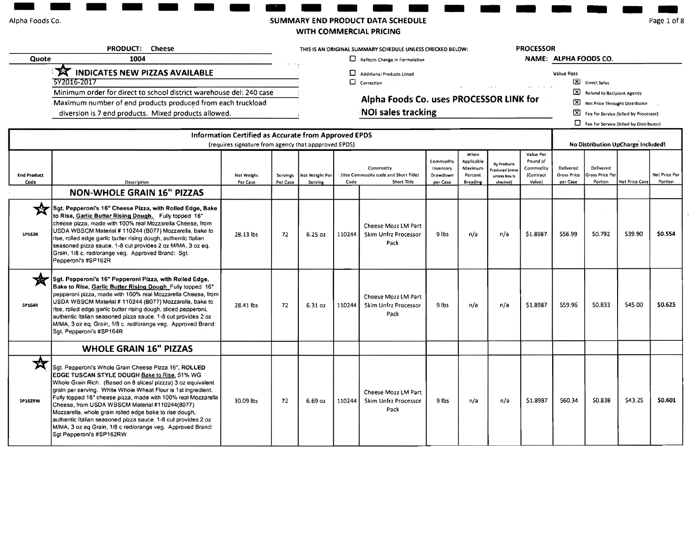### Alpha Foods Co.

### SUMMARY END PRODUCT DATA SCHEDULE

دست

WITH COMMERCIAL PRICING

۰ ı

Page 1 of 8

|                            | <b>PRODUCT:</b><br><b>Cheese</b>                                                                                                                                                                                                                                                                                                                                                                                                                                                                                                                                                 |                                                                                                              |                      |                           | THIS IS AN ORIGINAL SUMMARY SCHEDULE UNLESS CHECKED BELOW: |                                                                  |                                                |                                                      | <b>PROCESSOR</b>                                          |                                                           |                                      |                                           |                |                          |
|----------------------------|----------------------------------------------------------------------------------------------------------------------------------------------------------------------------------------------------------------------------------------------------------------------------------------------------------------------------------------------------------------------------------------------------------------------------------------------------------------------------------------------------------------------------------------------------------------------------------|--------------------------------------------------------------------------------------------------------------|----------------------|---------------------------|------------------------------------------------------------|------------------------------------------------------------------|------------------------------------------------|------------------------------------------------------|-----------------------------------------------------------|-----------------------------------------------------------|--------------------------------------|-------------------------------------------|----------------|--------------------------|
| Quote                      | 1004                                                                                                                                                                                                                                                                                                                                                                                                                                                                                                                                                                             |                                                                                                              |                      |                           |                                                            | $\Box$ Reflects Change in Formulation                            |                                                |                                                      |                                                           |                                                           | NAME: ALPHA FOODS CO.                |                                           |                |                          |
|                            | $\mathbf{x}$<br><b>INDICATES NEW PIZZAS AVAILABLE</b><br>572016-2017                                                                                                                                                                                                                                                                                                                                                                                                                                                                                                             |                                                                                                              |                      |                           | D<br>$\Box$                                                | <b>Additional Products Listed</b><br>Correction                  |                                                |                                                      |                                                           |                                                           | Value Pass                           | Direct Sales                              |                |                          |
|                            | Minimum order for direct to school district warehouse del: 240 case                                                                                                                                                                                                                                                                                                                                                                                                                                                                                                              |                                                                                                              |                      |                           |                                                            |                                                                  |                                                |                                                      |                                                           |                                                           |                                      | X Refund to Recipient Agency              |                |                          |
|                            | Maximum number of end products produced from each truckload                                                                                                                                                                                                                                                                                                                                                                                                                                                                                                                      |                                                                                                              |                      |                           |                                                            | Alpha Foods Co. uses PROCESSOR LINK for                          |                                                |                                                      |                                                           |                                                           |                                      | X Net Price Throught Distributor          |                |                          |
|                            | diversion is 7 end products. Mixed products allowed.                                                                                                                                                                                                                                                                                                                                                                                                                                                                                                                             |                                                                                                              |                      |                           |                                                            | <b>NOI sales tracking</b>                                        |                                                |                                                      |                                                           |                                                           |                                      | [X] Fee for Service (billed by Processor) |                |                          |
|                            |                                                                                                                                                                                                                                                                                                                                                                                                                                                                                                                                                                                  |                                                                                                              |                      |                           |                                                            |                                                                  |                                                |                                                      |                                                           |                                                           |                                      | Fee for Service (billed by Distributor)   |                |                          |
|                            |                                                                                                                                                                                                                                                                                                                                                                                                                                                                                                                                                                                  | Information Certified as Accurate from Approved EPDS<br>(requires signature from agency that appproved EPDS) |                      |                           |                                                            |                                                                  |                                                |                                                      |                                                           |                                                           |                                      | No Distribution UpCharge Included!        |                |                          |
| <b>End Product</b><br>Code | Description                                                                                                                                                                                                                                                                                                                                                                                                                                                                                                                                                                      | Net Weight<br>Per Case                                                                                       | Servings<br>Per Case | Net Weight Per<br>Serving | Code                                                       | Commodity<br>(Use Commodity code and Short Title)<br>Short Title | Commodity<br>Inventory<br>Drawdown<br>per Case | When<br>Applicable<br>Maximum<br>Percent<br>Breading | By Products<br>roduced (none<br>unless box is<br>checked) | Value Per<br>Pound of<br>Commodity<br>(Contract<br>Value) | Delivered<br>Gross Price<br>per Case | Delivered<br>ross Price Per<br>Portion    | Net Price Case | Net Price Per<br>Portion |
|                            | <b>NON-WHOLE GRAIN 16" PIZZAS</b>                                                                                                                                                                                                                                                                                                                                                                                                                                                                                                                                                |                                                                                                              |                      |                           |                                                            |                                                                  |                                                |                                                      |                                                           |                                                           |                                      |                                           |                |                          |
| ₩<br><b>SP162R</b>         | Sgt. Pepperoni's 16" Cheese Pizza, with Rolled Edge, Bake<br>to Rise, Garlic Butter Rising Dough. Fully topped 16"<br>cheese pizza, made with 100% real Mozzarella Cheese, from<br>USDA WBSCM Material # 110244 (B077) Mozzarella, bake to<br>rise, rolled edge garlic butter rising dough, authentic Italian<br>seasoned pizza sauce. 1-8 cut provides 2 oz M/MA, 3 oz eq.<br>Grain, 1/8 c. red/orange veg. Approved Brand: Sqt.<br>Pepperoni's #SP162R                                                                                                                         | 28.13 lbs                                                                                                    | 72                   | 6.25 oz                   | 110244                                                     | Cheese Mozz LM Part<br>Skim Unfrz Processor<br>Pack              | 9 lbs                                          | n/a                                                  | n/a                                                       | \$1,8987                                                  | \$56.99                              | \$0.792                                   | \$39.90        | \$0,554                  |
| ₩<br>SP164R                | Sgt. Pepperoni's 16" Pepperoni Pizza, with Rolled Edge,<br>Bake to Rise, Garlic Butter Rising Dough_Fully topped 16"<br>pepperoni pizza, made with 100% real Mozzarella Cheese, from<br>USDA WBSCM Material # 110244 (B077) Mozzarella, bake to<br>rise, rolled edge garlic butter rising dough, sliced pepperoni,<br>authentic Italian seasoned pizza sauce. 1-8 cut provides 2 oz<br>M/MA, 3 oz eq. Grain, 1/8 c. red/orange veg. Approved Brand:<br>Sgt. Pepperoni's #SP164R                                                                                                  | 28.41 lbs                                                                                                    | 72                   | 6.31 oz                   | 110244                                                     | Cheese Mozz LM Part<br>Skim Unfrz Processor<br>Pack              | 9 lbs                                          | n/a                                                  | n/a                                                       | \$1.8987                                                  | \$59.96                              | \$0.833                                   | \$45.00        | \$0.625                  |
|                            | <b>WHOLE GRAIN 16" PIZZAS</b>                                                                                                                                                                                                                                                                                                                                                                                                                                                                                                                                                    |                                                                                                              |                      |                           |                                                            |                                                                  |                                                |                                                      |                                                           |                                                           |                                      |                                           |                |                          |
| 穴<br>SP162RW               | Sgt. Pepperoni's Whole Grain Cheese Pizza 16", ROLLED<br>EDGE TUSCAN STYLE DOUGH Bake to Rise, 51% WG<br>Whole Grain Rich. (Based on 8 slices/ pizzza) 3 oz equivalent<br>grain per serving. White Whole Wheat Flour is 1st ingredient.<br>Fully topped 16" cheese pizza, made with 100% real Mozzarella<br>Cheese, from USDA WBSCM Material #110244(8077)<br>Mozzarella, whole grain rolled edge bake to rise dough,<br>authentic Italian seasoned pizza sauce. 1-8 cut provides 2 oz<br>M/MA, 3 oz eq Grain, 1/8 c red/orange veg. Approved Brand:<br>Sgt Pepperoni's #SP162RW | 30.09 lbs                                                                                                    | 72                   | 6.69 oz                   | 110244                                                     | Cheese Mozz LM Part<br>Skim Unfrz Processor<br>Pack              | 9 lbs                                          | n/a                                                  | n/a                                                       | \$1.8987                                                  | \$60.34                              | \$0.838                                   | \$43.25        | \$0,601                  |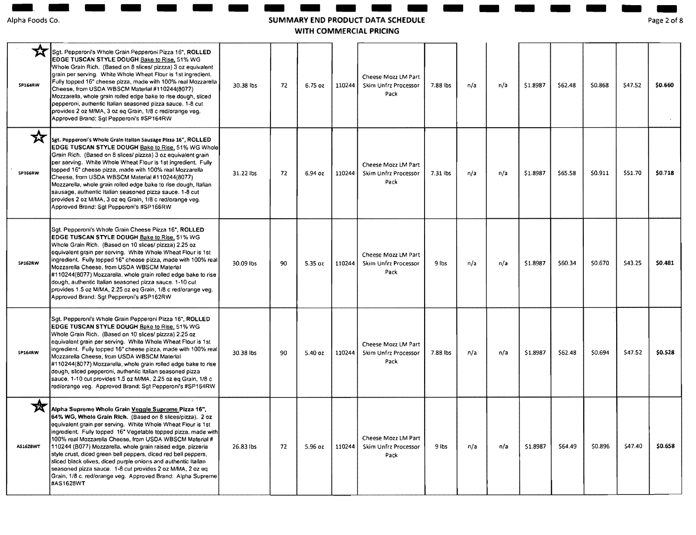## - - - - - - **SUMMARY END PRODUCT DATA SCHEDULE AND PRODUCT DATA SCH<br>ARY END PRODUCT DATA SCH<br>WITH COMMERCIAL PRICING** - - - - - - -

Page **- 1988**<br>ge 2 of 20f8

| SP164RW       | Sgt. Pepperoni's Whole Grain Pepperoni Pizza 16", ROLLED<br>EDGE TUSCAN STYLE DOUGH Bake to Rise, 51% WG<br>Whole Grain Rich. (Based on 8 slices/ pizzza) 3 oz eguivalent<br>grain per serving. White Whole Wheat Flour is 1st ingredient.<br>Fully topped 16" cheese pizza, made with 100% real Mozzarella<br>Cheese, from USDA WBSCM Material #110244(8077)<br>Mozzarella, whole grain rolled edge bake to rise dough, sliced<br>pepperoni, authentic Italian seasoned pizza sauce. 1-8 cut<br>provides 2 oz M/MA, 3 oz eq Grain, 1/8 c red/orange veg.<br>Approved Brand: Sqt Pepperoni's #SP164RW                                                     | 30.38 lbs | 72 | 6.75 oz   | 110244 | Cheese Mozz LM Part<br>Skim Unfrz Processor<br>Pack        | 7.88 lbs | n/a | n/a | \$1.8987 | \$62.48 | \$0,868 | \$47.52 | \$0.660 |
|---------------|-----------------------------------------------------------------------------------------------------------------------------------------------------------------------------------------------------------------------------------------------------------------------------------------------------------------------------------------------------------------------------------------------------------------------------------------------------------------------------------------------------------------------------------------------------------------------------------------------------------------------------------------------------------|-----------|----|-----------|--------|------------------------------------------------------------|----------|-----|-----|----------|---------|---------|---------|---------|
| 文<br>SP166RW  | Sgt. Pepperoni's Whole Grain Italian Sausage Pizza 16", ROLLED<br>EDGE TUSCAN STYLE DOUGH Bake to Rise, 51% WG Whole<br>Grain Rich. (Based on 8 slices/ pizzza) 3 oz equivalent grain<br>per serving. White Whole Wheat Flour is 1st ingredient. Fully<br>topped 16" cheese pizza, made with 100% real Mozzarella<br>Cheese, from USDA WBSCM Material #110244(8077)<br>Mozzarella, whole grain rolled edge bake to rise dough, Italian<br>sausage, authentic Italian seasoned pizza sauce. 1-8 cut<br>provides 2 oz M/MA, 3 oz eq Grain, 1/8 c red/orange veg.<br>Approved Brand: Sgt Pepperoni's #SP166RW                                                | 31.22 lbs | 72 | 6.94 oz   | 110244 | Cheese Mozz LM Part<br>Skim Unfrz Processor<br>Pack        | 7.31 lbs | n/a | n/a | \$1.8987 | \$65.58 | \$0.911 | \$51.70 | \$0.718 |
| SP162RW       | Sgt. Pepperoni's Whole Grain Cheese Pizza 16", ROLLED<br>EDGE TUSCAN STYLE DOUGH Bake to Rise, 51% WG<br>Whole Grain Rich. (Based on 10 slices/ pizzza) 2.25 oz<br>equivalent grain per serving. White Whole Wheat Flour is 1st<br>ingredient. Fully topped 16" cheese pizza, made with 100% real<br>Mozzarella Cheese, from USDA WBSCM Material<br>#110244(8077) Mozzarella, whole grain rolled edge bake to rise<br>dough, authentic Italian seasoned pizza sauce. 1-10 cut<br>provides 1.5 oz M/MA, 2.25 oz eg Grain, 1/8 c red/orange veg.<br>Approved Brand: Sgt Pepperoni's #SP162RW                                                                | 30.09 lbs | 90 | 5.35 oz   | 110244 | Cheese Mozz LM Part<br>Skim Unfrz Processor<br>Pack        | $9$ lbs  | n/a | n/a | \$1.8987 | \$60.34 | \$0.670 | \$43.25 | \$0.481 |
| SP164RW       | Sgt. Pepperoni's Whole Grain Pepperoni Pizza 16", ROLLED<br>EDGE TUSCAN STYLE DOUGH Bake to Rise, 51% WG<br>Whole Grain Rich. (Based on 10 slices/ pizzza) 2.25 oz<br>equivalent grain per serving. White Whole Wheat Flour is 1st<br>ingredient. Fully topped 16" cheese pizza, made with 100% real<br>Mozzarella Cheese, from USDA WBSCM Material<br>#110244(8077) Mozzarella, whole grain rolled edge bake to rise<br>dough, sliced pepperoni, authentic Italian seasoned pizza<br>sauce. 1-10 cut provides 1.5 oz M/MA, 2.25 oz eg Grain, 1/8 c<br>red/orange veg. Approved Brand: Sgt Pepperoni's #SP164RW                                           | 30.38 lbs | 90 | $5.40$ oz | 110244 | Cheese Mozz LM Part<br><b>Skim Unfrz Processor</b><br>Pack | 7.88 lbs | n/a | n/a | \$1.8987 | \$62.48 | \$0.694 | \$47.52 | \$0.528 |
| X<br>AS1628WT | Alpha Supreme Whole Grain Veggle Supreme Pizza 16",<br>64% WG, Whole Grain Rich. (Based on 8 slices/pizza). 2 oz<br>equivalent grain per serving. White Whole Wheat Flour is 1st<br>ingredient. Fully topped 16" Vegetable topped pizza, made with<br>100% real Mozzarella Cheese, from USDA WBSCM Material #<br>110244 (B077) Mozzarella, whole grain raised edge, pizzeria<br>style crust, diced green bell peppers, diced red bell peppers,<br>sliced black olives, diced purple onions and authentic Italian<br>seasoned pizza sauce. 1-8 cut provides 2 oz M/MA, 2 oz eq<br>Grain, 1/8 c. red/orange veg. Approved Brand: Alpha Supreme<br>#AS1628WT | 26.83 lbs | 72 | 5.96 oz   | 110244 | Cheese Mozz LM Part<br>Skim Unfrz Processor<br>Pack        | $9$ ibs  | n/a | n/a | \$1.8987 | \$64.49 | \$0.896 | \$47.40 | \$0.658 |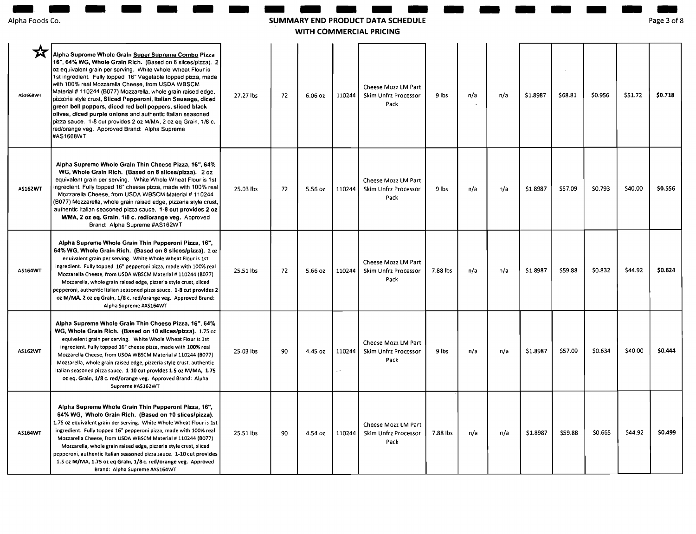| Alpha Foods Co. |  |
|-----------------|--|
|                 |  |

## **SUMMARY END PRODUCT DATA AND BELLET COMMERCIAL PRICING**<br>WITH COMMERCIAL PRICING - - **SCHEDULE**

Page 3 of 8

| pha Foods Co.  |                                                                                                                                                                                                                                                                                                                                                                                                                                                                                                                                                                                                                                                                                                     |           |    |         |        | SUMMARY END PRODUCT DATA SCHEDULE<br>WITH COMMERCIAL PRICING |          |     |     |          |         |         |         | Page 3 of 8 |
|----------------|-----------------------------------------------------------------------------------------------------------------------------------------------------------------------------------------------------------------------------------------------------------------------------------------------------------------------------------------------------------------------------------------------------------------------------------------------------------------------------------------------------------------------------------------------------------------------------------------------------------------------------------------------------------------------------------------------------|-----------|----|---------|--------|--------------------------------------------------------------|----------|-----|-----|----------|---------|---------|---------|-------------|
| AS1668WT       | Alpha Supreme Whole Grain Super Supreme Combo Pizza<br>16", 64% WG, Whole Grain Rich. (Based on 8 slices/pizza). 2<br>oz equivalent grain per serving. White Whole Wheat Flour is<br>1st ingredient. Fully topped 16" Vegetable topped pizza, made<br>with 100% real Mozzarella Cheese, from USDA WBSCM<br>Material # 110244 (B077) Mozzarella, whole grain raised edge,<br>pizzena style crust, Sliced Pepperoni, Italian Sausage, diced<br>green bell peppers, diced red bell peppers, sliced black<br>olives, diced purple onlons and authentic Italian seasoned<br>pizza sauce. 1-8 cut provides 2 oz M/MA, 2 oz eq Grain, 1/8 c.<br>red/orange veg. Approved Brand: Alpha Supreme<br>#AS1668WT | 27.27 lbs | 72 | 6.06 oz | 110244 | Cheese Mozz LM Part<br>Skim Unfrz Processor<br>Pack          | 9 lbs    | n/a | n/a | \$1.8987 | \$68.81 | \$0.956 | \$51.72 | \$0.718     |
| <b>AS162WT</b> | Alpha Supreme Whole Grain Thin Cheese Pizza, 16", 64%<br>WG, Whole Grain Rich. (Based on 8 slices/pizza). 2 oz<br>equivalent grain per serving. White Whole Wheat Flour is 1st<br>ingredient. Fully topped 16" cheese pizza, made with 100% real<br>Mozzarella Cheese, from USDA WBSCM Material # 110244<br>(B077) Mozzarella, whole grain raised edge, pizzenia style crust,<br>authentic Italian seasoned pizza sauce. 1-8 cut provides 2 oz<br>M/MA, 2 oz eq. Grain, 1/8 c. red/orange veg. Approved<br>Brand: Alpha Supreme #AS162WT                                                                                                                                                            | 25.03 lbs | 72 | 5.56 oz | 110244 | Cheese Mozz LM Part<br>Skim Unfrz Processor<br>Pack          | 9 lbs    | n/a | n/a | \$1.8987 | \$57.09 | \$0.793 | \$40.00 | \$0.556     |
| AS164WT        | Alpha Supreme Whole Grain Thin Pepperoni Pizza, 16",<br>64% WG, Whole Grain Rich. (Based on 8 slices/pizza). 2 oz<br>equivalent grain per serving. White Whole Wheat Flour is 1st<br>ingredient. Fully topped 16" pepperoni pizza, made with 100% real<br>Mozzarella Cheese, from USDA WBSCM Material # 110244 (B077)<br>Mozzarella, whole grain raised edge, pizzeria style crust, sliced<br>pepperoni, authentic Italian seasoned pizza sauce. 1-8 cut provides 2<br>oz M/MA, 2 oz eq Grain, 1/8 c. red/orange veg. Approved Brand:<br>Alpha Supreme #AS164WT                                                                                                                                     | 25.51 lbs | 72 | 5.66 oz | 110244 | Cheese Mozz LM Part<br>Skim Unfrz Processor<br>Pack          | 7.88 lbs | n/a | n/a | \$1.8987 | \$59.88 | \$0.832 | \$44.92 | \$0.624     |
| AS162WT        | Alpha Supreme Whole Grain Thin Cheese Pizza, 16", 64%<br>WG, Whole Grain Rich. (Based on 10 slices/pizza). 1.75 oz<br>equivalent grain per serving. White Whole Wheat Flour is 1st<br>ingredient. Fully topped 16" cheese pizza, made with 100% real<br>Mozzarella Cheese, from USDA WBSCM Material # 110244 (B077)<br>Mozzarella, whole grain raised edge, pizzeria style crust, authentic<br>Italian seasoned pizza sauce. 1-10 cut provides 1.5 oz M/MA, 1.75<br>oz eq. Grain, 1/8 c. red/orange veg. Approved Brand: Alpha<br>Supreme #AS162WT                                                                                                                                                  | 25.03 lbs | 90 | 4.45 oz | 110244 | Cheese Mozz LM Part<br>Skim Unfrz Processor<br>Pack          | 9 lbs    | n/a | n/a | \$1.8987 | \$57.09 | \$0.634 | \$40.00 | \$0.444     |
| AS164WT        | Alpha Supreme Whole Grain Thin Pepperoni Pizza, 16",<br>64% WG, Whole Grain Rich. (Based on 10 slices/pizza).<br>1.75 oz equivalent grain per serving. White Whole Wheat Flour is 1st<br>ingredient. Fully topped 16" pepperoni pizza, made with 100% real<br>Mozzarella Cheese, from USDA WBSCM Material # 110244 (B077)<br>Mozzarella, whole grain raised edge, pizzeria style crust, sliced<br>pepperoni, authentic Italian seasoned pizza sauce. 1-10 cut provides<br>1.5 oz M/MA, 1.75 oz eq Grain, 1/8 c. red/orange veg. Approved<br>Brand: Alpha Supreme #AS164WT                                                                                                                           | 25.51 lbs | 90 | 4.54 oz | 110244 | Cheese Mozz LM Part<br>Skim Unfrz Processor<br>Pack          | 7.88 lbs | n/a | n/a | \$1.8987 | \$59.88 | \$0.665 | \$44.92 | \$0.499     |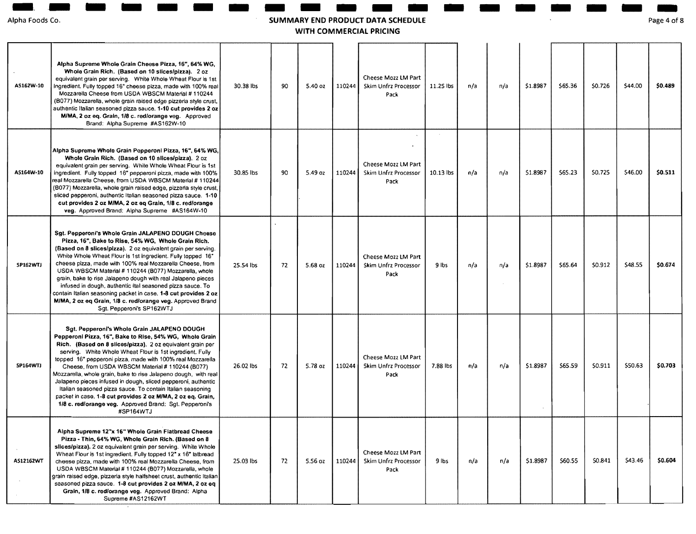Alpha **-.**  Foods Co. - -

## - - - - - **SUMMARY END PRODUCT DATA SCHEDULE AND AND AND AREA COMMERCIAL PRICING**<br>- ARY END PRODUCT DATA SCH<br>WITH COMMERCIAL PRICING - - - - - - -

Page **ANDREW SERVER**<br>Belanding 4 of 8

| AS162W-10       | Alpha Supreme Whole Grain Cheese Pizza, 16", 64% WG.<br>Whole Grain Rich. (Based on 10 slices/pizza). 2 oz<br>equivalent grain per serving. White Whole Wheat Flour is 1st<br>ingredient. Fully topped 16" cheese pizza, made with 100% real<br>Mozzarella Cheese from USDA WBSCM Material #110244<br>(B077) Mozzarella, whole grain raised edge pizzeria style crust,<br>authentic Italian seasoned pizza sauce. 1-10 cut provides 2 oz<br>M/MA, 2 oz eq. Grain, 1/8 c. red/orange veg. Approved<br>Brand: Alpha Supreme #AS162W-10                                                                                                                                                          | 30.38 lbs | 90 | 5.40 oz | 110244 | Cheese Mozz LM Part<br><b>Skim Unfrz Processor</b><br>Pack | 11.25 lbs | n/a | n/a | \$1.8987 | \$65.36 | \$0.726 | \$44.00 | \$0,489 |
|-----------------|-----------------------------------------------------------------------------------------------------------------------------------------------------------------------------------------------------------------------------------------------------------------------------------------------------------------------------------------------------------------------------------------------------------------------------------------------------------------------------------------------------------------------------------------------------------------------------------------------------------------------------------------------------------------------------------------------|-----------|----|---------|--------|------------------------------------------------------------|-----------|-----|-----|----------|---------|---------|---------|---------|
| AS164W-10       | Alpha Supreme Whole Grain Pepperoni Pizza, 16", 64% WG,<br>Whole Grain Rich. (Based on 10 slices/pizza). 2 oz<br>equivalent grain per serving. White Whole Wheat Flour is 1st<br>ingredient. Fully topped 16" pepperoni pizza, made with 100%<br>real Mozzarella Cheese, from USDA WBSCM Material # 110244<br>(B077) Mozzarella, whole grain raised edge, pizzena style crust,<br>sliced pepperoni, authentic Italian seasoned pizza sauce. 1-10<br>cut provides 2 oz M/MA, 2 oz eq Grain, 1/8 c. red/orange<br>veg. Approved Brand: Alpha Supreme #AS164W-10                                                                                                                                 | 30.85 lbs | 90 | 5.49 oz | 110244 | Cheese Mozz LM Part<br>Skim Unfrz Processor<br>Pack        | 10.13 lbs | n/a | n/a | \$1.8987 | \$65.23 | \$0.725 | 546.00  | \$0.511 |
| SP162WTJ        | Sgt. Pepperoni's Whole Grain JALAPENO DOUGH Cheese<br>Pizza, 16", Bake to Rise, 54% WG, Whole Grain Rich.<br>(Based on 8 slices/pizza). 2 oz equivalent grain per serving.<br>White Whole Wheat Flour is 1st ingredient. Fully topped 16*<br>cheese pizza, made with 100% real Mozzarella Cheese, from<br>USDA WBSCM Material # 110244 (B077) Mozzarella, whole<br>grain, bake to rise Jalapeno dough with real Jalapeno pieces<br>infused in dough, authentic Ital seasoned pizza sauce. To<br>contain Italian seasoning packet in case. 1-8 cut provides 2 oz<br>M/MA, 2 oz eq Grain, 1/8 c. red/orange veg. Approved Brand<br>Sgt. Pepperoni's SP162WTJ                                    | 25.54 lbs | 72 | 5.68 oz | 110244 | Cheese Mozz LM Part<br>Skim Unfrz Processor<br>Pack        | 9 lbs     | n/a | n/a | \$1,8987 | \$65.64 | 50.912  | \$48.55 | \$0.674 |
| <b>SP164WTJ</b> | Sgt. Pepperoni's Whole Grain JALAPENO DOUGH<br>Pepperoni Pizza, 16", Bake to Rise, 54% WG,  Whole Grain<br>Rich. (Based on 8 slices/pizza). 2 oz equivalent grain per<br>serving. White Whole Wheat Flour is 1st ingredient. Fully<br>topped 16" pepperoni pizza, made with 100% real Mozzarella<br>Cheese, from USDA WBSCM Material # 110244 (B077)<br>Mozzarella, whole grain, bake to rise Jalapeno dough, with real<br>Jalapeno pieces infused in dough, sliced pepperoni, authentic<br>Italian seasoned pizza sauce. To contain Italian seasoning<br>packet in case. 1-8 cut provides 2 oz M/MA, 2 oz eq. Grain,<br>1/8 c. red/orange veg. Approved Brand: Sqt. Pepperoni's<br>#SP164WTJ | 26.02 lbs | 72 | 5.78 oz | 110244 | Cheese Mozz LM Part<br><b>Skim Unfrz Processor</b><br>Pack | 7.88 lbs  | n/a | n/a | \$1.8987 | 565.59  | 50.911  | \$50.63 | \$0.703 |
| AS12162WT       | Alpha Supreme 12"x 16" Whole Grain Flatbread Cheese<br>Pizza - Thin, 64% WG, Whole Grain Rich. (Based on 8<br>slices/pizza). 2 oz equivalent grain per serving. White Whole<br>Wheat Flour is 1st ingredient. Fully topped 12" x 16" latbread<br>cheese pizza, made with 100% real Mozzarella Cheese, from<br>USDA WBSCM Material # 110244 (B077) Mozzarella, whole<br>grain raised edge, pizzeria style halfsheet crust, authentic Italian<br>seasoned pizza sauce. 1-8 cut provides 2 oz M/MA, 2 oz eq<br>Grain, 1/8 c. red/orange veg. Approved Brand: Alpha<br>Supreme #AS12162WT                                                                                                         | 25.03 lbs | 72 | 5.56 oz | 110244 | Cheese Mozz LM Part<br>Skim Unfrz Processor<br>Pack        | $9$ lbs   | n/a | n/a | \$1.8987 | \$60.55 | \$0.841 | \$43.46 | \$0.604 |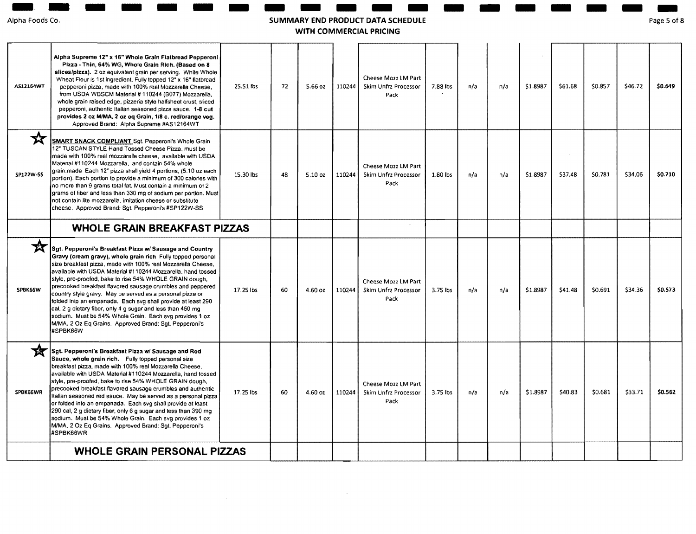Alpha **-** Foods **. . -** Co.

### - - - - - - **SUMMARY ANDER**<br>RY EN<br>VITH C **END PRODUCT ANGELO ANGELES ANGELES**<br>RODUCT DATA SCHEDULE<br>MERCIAL PRICING **DATA SCHEDULE WITH COMMERCIAL PRICING**

Page es<br>ge 5 of 5 of 8

- - - - - -

| <b>AS12164WT</b> | Alpha Supreme 12" x 16" Whole Grain Flatbread Pepperoni<br>Pizza - Thin, 64% WG, Whole Grain Rich. (Based on 8<br>slices/pizza). 2 oz equivalent grain per serving. White Whole<br>Wheat Flour is 1st ingredient. Fully topped 12" x 16" flatbread<br>pepperoni pizza, made with 100% real Mozzarella Cheese,<br>from USDA WBSCM Material # 110244 (B077) Mozzarella,<br>whole grain raised edge, pizzena style halfsheet crust, sliced<br>pepperoni, authentic Italian seasoned pizza sauce. 1-8 cut<br>provides 2 oz M/MA, 2 oz eq Grain, 1/8 c. red/orange veg.<br>Approved Brand: Alpha Supreme #AS12164WT                                                                                               | 25.51 lbs | 72 | 5.66 oz | 110244 | Cheese Mozz LM Part<br>Skim Unfrz Processor<br>Pack | 7.88 lbs | n/a | n/a | \$1.8987 | \$61.68 | \$0.857 | \$46.72 | \$0.649 |
|------------------|--------------------------------------------------------------------------------------------------------------------------------------------------------------------------------------------------------------------------------------------------------------------------------------------------------------------------------------------------------------------------------------------------------------------------------------------------------------------------------------------------------------------------------------------------------------------------------------------------------------------------------------------------------------------------------------------------------------|-----------|----|---------|--------|-----------------------------------------------------|----------|-----|-----|----------|---------|---------|---------|---------|
| ҡ<br>SP122W-SS   | SMART SNACK COMPLIANT Sqt. Pepperoni's Whole Grain<br>12" TUSCAN STYLE Hand Tossed Cheese Pizza, must be<br>made with 100% real mozzarella cheese, available with USDA<br>Material #110244 Mozzarella, and contain 54% whole<br>grain.made Each 12" pizza shall yield 4 portions, (5.10 oz each<br>portion). Each portion to provide a minimum of 300 calories with<br>no more than 9 grams total fat. Must contain a minimum of 2<br>grams of fiber and less than 330 mg of sodium per portion. Must<br>not contain lite mozzarella, imitation cheese or substitute<br>cheese. Approved Brand: Sqt. Pepperoni's #SP122W-SS                                                                                  | 15.30 lbs | 48 | 5.10 oz | 110244 | Cheese Mozz LM Part<br>Skim Unfrz Processor<br>Pack | 1.80 lbs | n/a | n/a | \$1.8987 | \$37.48 | \$0.781 | \$34.06 | \$0.710 |
|                  | <b>WHOLE GRAIN BREAKFAST PIZZAS</b>                                                                                                                                                                                                                                                                                                                                                                                                                                                                                                                                                                                                                                                                          |           |    |         |        |                                                     |          |     |     |          |         |         |         |         |
| 文<br>SPBK66W     | Sgt. Pepperoni's Breakfast Pizza w/ Sausage and Country<br>Gravy (cream gravy), whole grain rich Fully topped personal<br>size breakfast pizza, made with 100% real Mozzarella Cheese,<br>available with USDA Material #110244 Mozzarella, hand tossed<br>style, pre-proofed, bake to rise 54% WHOLE GRAIN dough,<br>precooked breakfast flavored sausage crumbles and peppered<br>country style gravy. May be served as a personal pizza or<br>folded into an empanada. Each svg shall provide at least 290<br>cal, 2 g dietary fiber, only 4 g sugar and less than 450 mg<br>sodium. Must be 54% Whole Grain. Each svg provides 1 oz<br>M/MA, 2 Oz Eq Grains. Approved Brand: Sgt. Pepperoni's<br>#SPBK66W | 17.25 lbs | 60 | 4.60 oz | 110244 | Cheese Mozz LM Part<br>Skim Unfrz Processor<br>Pack | 3.75 lbs | n/a | n/a | \$1.8987 | 541.48  | \$0.691 | \$34.36 | \$0.573 |
| SPBK66WR         | Sgt. Pepperoni's Breakfast Pizza w/ Sausage and Red<br>Sauce, whole grain rich. Fully topped personal size<br>breakfast pizza, made with 100% real Mozzarella Cheese,<br>available with USDA Material #110244 Mozzarella, hand tossed<br>style, pre-proofed, bake to rise 54% WHOLE GRAIN dough,<br>precooked breakfast flavored sausage crumbles and authentic<br>Italian seasoned red sauce. May be served as a personal pizza<br>or folded into an empanada. Each svg shall provide at least<br>290 cal, 2 g dietary fiber, only 6 g sugar and less than 390 mg<br>sodium. Must be 54% Whole Grain. Each svg provides 1 oz<br>M/MA, 2 Oz Eq Grains. Approved Brand: Sgt. Pepperoni's<br>#SPBK66WR         | 17.25 lbs | 60 | 4.60 oz | 110244 | Cheese Mozz LM Part<br>Skim Unfrz Processor<br>Pack | 3.75 lbs | n/a | n/a | \$1.8987 | \$40.83 | \$0.681 | \$33.71 | \$0.562 |
|                  | <b>WHOLE GRAIN PERSONAL PIZZAS</b>                                                                                                                                                                                                                                                                                                                                                                                                                                                                                                                                                                                                                                                                           |           |    |         |        |                                                     |          |     |     |          |         |         |         |         |

 $\sim 10^{-1}$ 

 $\mathcal{A}$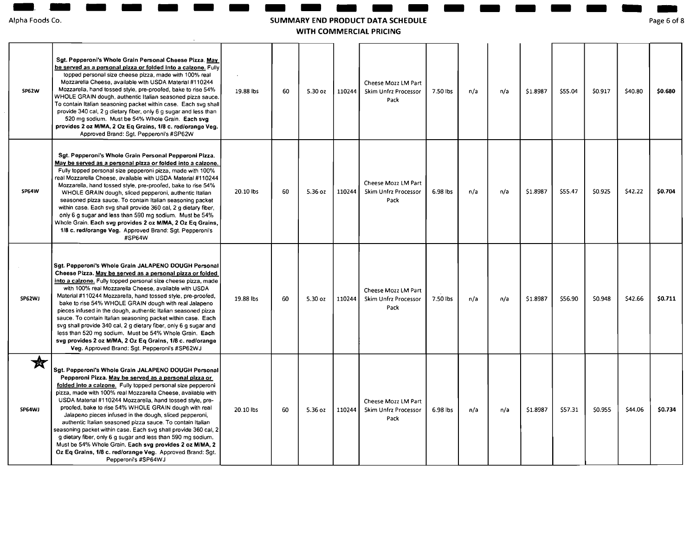| Alpha Foods Co. |  |
|-----------------|--|
|                 |  |

- - - -

# entrangement and the same of the state of the summary end product data schedule<br>Ipha Foods Co. Page 6 on the SUMMARY END PRODUCT DATA SCHEDULE<br>WITH COMMERCIAL PRICING **SUMMARY END PRODUCT DATA SCHEDULE EXECUTE AND A SCHEDULE Page 6 of 8**

**WITH COMMERCIAL PRICING** 

| SP62W                | Sgt. Pepperoni's Whole Grain Personal Cheese Pizza. May<br>be served as a personal pizza or folded into a calzone. Fully<br>topped personal size cheese pizza, made with 100% real<br>Mozzarella Cheese, available with USDA Material #110244<br>Mozzarella, hand tossed style, pre-proofed, bake to rise 54%<br>WHOLE GRAIN dough, authentic Italian seasoned pizza sauce<br>To contain Italian seasoning packet within case. Each svg shall<br>provide 340 cal, 2 g dietary fiber, only 6 g sugar and less than<br>520 mg sodium. Must be 54% Whole Grain. Each svg<br>provides 2 oz M/MA, 2 Oz Eq Grains, 1/8 c. red/orange Veg.<br>Approved Brand: Sqt. Pepperoni's #SP62W                                                                                                | 19.88 lbs | 60 | 5.30 oz | 110244 | Cheese Mozz LM Part<br>Skim Unfrz Processor<br>Pack        | 7.50 lbs | n/a | n/a | \$1.8987 | \$55.04 | \$0.917 | \$40.80 | \$0.680 |
|----------------------|-------------------------------------------------------------------------------------------------------------------------------------------------------------------------------------------------------------------------------------------------------------------------------------------------------------------------------------------------------------------------------------------------------------------------------------------------------------------------------------------------------------------------------------------------------------------------------------------------------------------------------------------------------------------------------------------------------------------------------------------------------------------------------|-----------|----|---------|--------|------------------------------------------------------------|----------|-----|-----|----------|---------|---------|---------|---------|
| SP64W                | Sgt. Pepperoni's Whole Grain Personal Pepperoni Pizza.<br>May be served as a personal pizza or folded into a calzone.<br>Fully topped personal size pepperoni pizza, made with 100%<br>real Mozzarella Cheese, available with USDA Material #110244<br>Mozzarella, hand tossed style, pre-proofed, bake to rise 54%<br>WHOLE GRAIN dough, sliced pepperoni, authentic Italian<br>seasoned pizza sauce. To contain Italian seasoning packet<br>within case. Each svg shall provide 360 cal, 2 g dietary fiber,<br>only 6 g sugar and less than 590 mg sodium. Must be 54%<br>Whole Grain. Each svg provides 2 oz M/MA, 2 Oz Eq Grains,<br>1/8 c. red/orange Veg. Approved Brand: Sgt. Pepperoni's<br>#SP64W                                                                    | 20.10 lbs | 60 | 5.36 oz | 110244 | Cheese Mozz LM Part<br>Skim Unfrz Processor<br>Pack        | 6.98 lbs | n/a | n/a | \$1.8987 | \$55.47 | \$0.925 | \$42.22 | \$0.704 |
| SP62WJ               | Sgt. Pepperoni's Whole Grain JALAPENO DOUGH Personal<br>Cheese Pizza. May be served as a personal pizza or folded<br>into a calzone. Fully topped personal size cheese pizza, made<br>with 100% real Mozzarella Cheese, available with USDA<br>Material #110244 Mozzarella, hand tossed style, pre-proofed,<br>bake to rise 54% WHOLE GRAIN dough with real Jalapeno<br>pieces infused in the dough, authentic Italian seasoned pizza<br>sauce. To contain Italian seasoning packet within case. Each<br>svg shall provide 340 cal, 2 g dietary fiber, only 6 g sugar and<br>less than 520 mg sodium. Must be 54% Whole Grain. Each<br>svg provides 2 oz M/MA, 2 Oz Eq Grains, 1/8 c. red/orange<br>Veg. Approved Brand: Sgt. Pepperoni's #SP62WJ                             | 19.88 lbs | 60 | 5.30 oz | 110244 | Cheese Mozz LM Part<br>Skim Unfrz Processor<br>Pack        | 7.50 lbs | n/a | n/a | \$1.8987 | \$56.90 | \$0.948 | \$42.66 | \$0.711 |
| $\bigstar$<br>SP64WJ | Sgt. Pepperoni's Whole Grain JALAPENO DOUGH Personal<br>Pepperoni Pizza. May be served as a personal pizza or<br>folded into a calzone. Fully topped personal size pepperoni<br>pizza, made with 100% real Mozzarella Cheese, available with<br>USDA Material #110244 Mozzarella, hand tossed style, pre-<br>proofed, bake to rise 54% WHOLE GRAIN dough with real<br>Jalapeno pieces infused in the dough, sliced pepperoni,<br>authentic Italian seasoned pizza sauce. To contain Italian<br>seasoning packet within case. Each svg shall provide 360 cal, 2<br>g dietary fiber, only 6 g sugar and less than 590 mg sodium.<br>Must be 54% Whole Grain, Each svg provides 2 oz M/MA, 2<br>Oz Eq Grains, 1/8 c. red/orange Veg. Approved Brand: Sgt.<br>Pepperoni's #SP64WJ | 20.10 lbs | 60 | 5.36 oz | 110244 | Cheese Mozz LM Part<br><b>Skim Unfrz Processor</b><br>Pack | 6.98 lbs | n/a | n/a | \$1.8987 | \$57.31 | \$0.955 | \$44.06 | \$0.734 |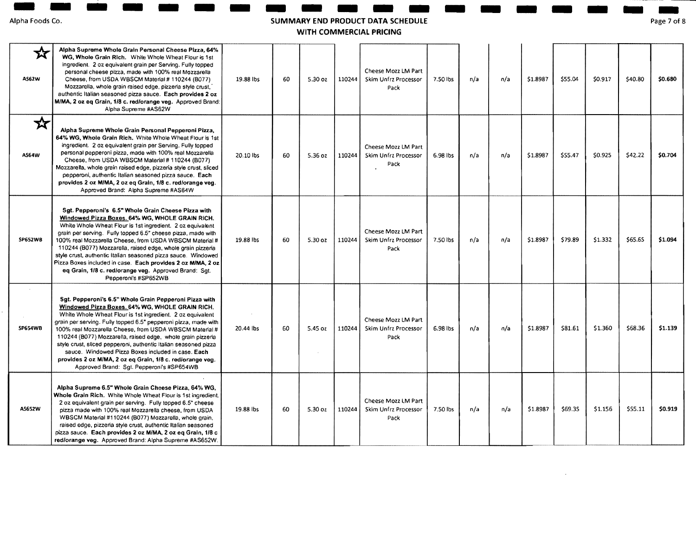- - - -

# - - - - - - - - - - - - - .. **SUMMARY END PRODUCT DATA SCHEDULE**

Page 7 of 8

**WITH COMMERCIAL PRICING** 

| 文<br>AS62W     | Alpha Supreme Whole Grain Personal Cheese Pizza, 64%<br>WG, Whole Grain Rich. White Whole Wheat Flour is 1st<br>ingredient. 2 oz equivalent grain per Serving. Fully topped<br>personal cheese pizza, made with 100% real Mozzarella<br>Cheese, from USDA WBSCM Material # 110244 (B077)<br>Mozzarella, whole grain raised edge, pizzena style crust.<br>authentic Italian seasoned pizza sauce. Each provides 2 oz<br>M/MA, 2 oz eq Grain, 1/8 c. red/orange veg. Approved Brand:<br>Alpha Supreme #AS62W                                                                                              | 19.88 lbs           | 60 | 5.30 oz | 110244 | Cheese Mozz LM Part<br><b>Skim Unfrz Processor</b><br>Pack | 7.50 lbs | n/a | n/a | \$1.8987 | \$55.04 | \$0.917 | \$40.80 | \$0.680 |
|----------------|---------------------------------------------------------------------------------------------------------------------------------------------------------------------------------------------------------------------------------------------------------------------------------------------------------------------------------------------------------------------------------------------------------------------------------------------------------------------------------------------------------------------------------------------------------------------------------------------------------|---------------------|----|---------|--------|------------------------------------------------------------|----------|-----|-----|----------|---------|---------|---------|---------|
| ☆<br>AS64W     | Alpha Supreme Whole Grain Personal Pepperoni Pizza,<br>64% WG, Whole Grain Rich. White Whole Wheat Flour is 1st<br>ingredient. 2 oz equivalent grain per Serving. Fully topped<br>personal pepperoni pizza, made with 100% real Mozzarella<br>Cheese, from USDA WBSCM Material # 110244 (B077)<br>Mozzarella, whole grain raised edge, pizzena style crust, sliced<br>pepperoni, authentic Italian seasoned pizza sauce. Each<br>provides 2 oz M/MA, 2 oz eg Grain, 1/8 c. red/orange veg.<br>Approved Brand: Alpha Supreme #AS64W                                                                      | 20.10 lbs           | 60 | 5.36 oz | 110244 | Cheese Mozz LM Part<br>Skim Unfrz Processor<br>Pack        | 6.98 lbs | n/a | n/a | \$1.8987 | \$55.47 | \$0.925 | \$42.22 | \$0.704 |
| <b>SP652WB</b> | Sgt. Pepperoni's 6.5" Whole Grain Cheese Pizza with<br>Windowed Pizza Boxes. 64% WG, WHOLE GRAIN RICH.<br>White Whole Wheat Flour is 1st ingredient. 2 oz equivalent<br>grain per serving. Fully topped 6.5" cheese pizza, made with<br>100% real Mozzarella Cheese, from USDA WBSCM Material #<br>110244 (B077) Mozzarella, raised edge, whole grain pizzenia<br>style crust, authentic Italian seasoned pizza sauce. Windowed<br>Pizza Boxes included in case. Each provides 2 oz M/MA, 2 oz<br>eq Grain, 1/8 c. red/orange veg. Approved Brand: Sgt.<br>Pepperoni's #SP652WB                         | 19.88 lbs           | 60 | 5.30 oz | 110244 | Cheese Mozz LM Part<br>Skim Unfrz Processor<br>Pack        | 7.50 lbs | n/a | n/a | \$1,8987 | \$79.89 | \$1.332 | \$65.65 | \$1,094 |
| <b>SP654WB</b> | Sgt. Pepperoni's 6.5" Whole Grain Pepperoni Pizza with<br>Windowed Pizza Boxes. 64% WG, WHOLE GRAIN RICH.<br>White Whole Wheat Flour is 1st ingredient. 2 oz equivalent<br>grain per serving. Fully topped 6.5" pepperoni pizza, made with<br>100% real Mozzarella Cheese, from USDA WBSCM Material #<br>110244 (B077) Mozzarella, raised edge, whole grain pizzeria<br>style crust, sliced pepperoni, authentic Italian seasoned pizza<br>sauce. Windowed Pizza Boxes included in case. Each<br>provides 2 oz M/MA, 2 oz eq Grain, 1/8 c. red/orange veg.<br>Approved Brand: Sgt. Pepperoni's #SP654WB | $\sim$<br>20.44 lbs | 60 | 5.45 oz | 110244 | Cheese Mozz LM Part<br>Skim Unfrz Processor<br>Pack        | 6.98 lbs | n/a | n/a | \$1.8987 | \$81.61 | \$1.360 | \$68.36 | \$1.139 |
| AS652W         | Alpha Supreme 6.5" Whole Grain Cheese Pizza, 64% WG,<br>Whole Grain Rich. White Whole Wheat Flour is 1st ingredient.<br>2 oz equivalent grain per serving. Fully topped 6.5" cheese<br>pizza made with 100% real Mozzarella cheese, from USDA<br>WBSCM Material #110244 (B077) Mozzarella, whole grain,<br>raised edge, pizzeria style crust, authentic Italian seasoned<br>pizza sauce. Each provides 2 oz M/MA, 2 oz eq Grain, 1/8 c<br>red/orange veg. Approved Brand: Alpha Supreme #AS652W.                                                                                                        | 19.88 lbs           | 60 | 5.30 oz | 110244 | Cheese Mozz LM Part<br>Skim Unfrz Processor<br>Pack        | 7.50 lbs | n/a | n/a | \$1.8987 | \$69.35 | \$1.156 | \$55.11 | \$0.919 |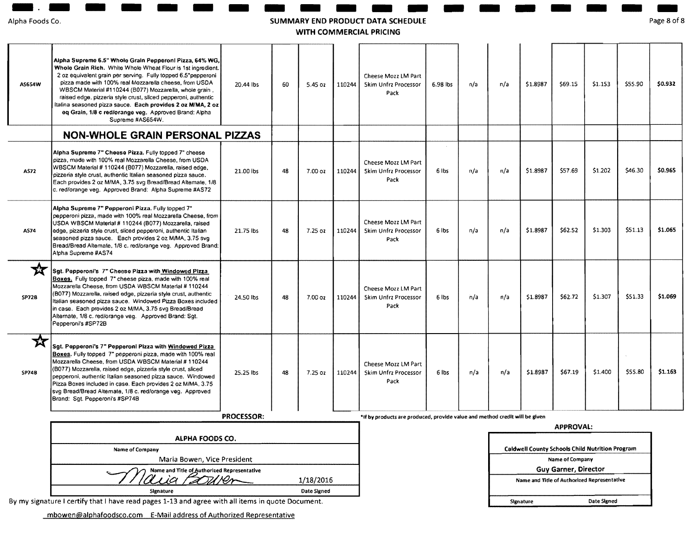| Alpha Foods Co. |  |
|-----------------|--|

#### SUMMARY **- 1988**<br>RY EN<br>VITH C END PRODUCT **ANDRE**<br>RODUK<br>MERC DATA **ANGELIA (NGC)**<br>ATA SCHEDULE<br>PRICING SCHEDULE WITH COMMERCIAL PRICING

| Alpha Foods Co.   |                                                                                                                                                                                                                                                                                                                                                                                                                                                                                                                            |                   |    |           |        | SUMMARY END PRODUCT DATA SCHEDULE<br>WITH COMMERCIAL PRICING                |          |                             |                                             |           |                  |                                                        |         | Page 8 of 8   |
|-------------------|----------------------------------------------------------------------------------------------------------------------------------------------------------------------------------------------------------------------------------------------------------------------------------------------------------------------------------------------------------------------------------------------------------------------------------------------------------------------------------------------------------------------------|-------------------|----|-----------|--------|-----------------------------------------------------------------------------|----------|-----------------------------|---------------------------------------------|-----------|------------------|--------------------------------------------------------|---------|---------------|
| AS6S4W            | Alpha Supreme 6.5" Whole Grain Pepperoni Pizza, 64% WG,<br>Whole Grain Rich. White Whole Wheat Flour is 1st ingredient.<br>2 oz equivalent grain per serving. Fully topped 6.5"pepperoni<br>pizza made with 100% real Mozzarella cheese, from USDA<br>WBSCM Material #110244 (B077) Mozzarella, whole grain,<br>raised edge, pizzeria style crust, sliced pepperoni, authentic<br>Italina seasoned pizza sauce. Each provides 2 oz M/MA, 2 oz<br>eq Grain, 1/8 c red/orange veg. Approved Brand: Alpha<br>Supreme #AS654W. | 20.44 lbs         | 60 | 5.45 02   | 110244 | Cheese Mozz LM Part<br>Skim Unfrz Processor<br>Pack                         | 6.98 lbs | n/a                         | n/a                                         | \$1.8987  | \$69.15          | \$1.153                                                | \$55.90 | \$0.932       |
|                   | <b>NON-WHOLE GRAIN PERSONAL PIZZAS</b>                                                                                                                                                                                                                                                                                                                                                                                                                                                                                     |                   |    |           |        |                                                                             |          |                             |                                             |           |                  |                                                        |         |               |
| AS72              | Alpha Supreme 7" Cheese Pizza. Fully topped 7" cheese<br>pizza, made with 100% real Mozzarella Cheese, from USDA<br>WBSCM Material # 110244 (B077) Mozzarella, raised edge,<br>pizzeria style crust, authentic Italian seasoned pizza sauce.<br>Each provides 2 oz M/MA, 3.75 svg Bread/Bread Alternate, 1/8<br>c. red/orange veg. Approved Brand: Alpha Supreme #AS72                                                                                                                                                     | 21.00 lbs         | 48 | 7.00 oz   | 110244 | Cheese Mozz LM Part<br>Skim Unfrz Processor<br>Pack                         | 6 lbs    | n/a                         | n/a                                         | \$1.8987  | \$57.69          | \$1.202                                                | \$46.30 | <b>SO.96S</b> |
| AS74              | Alpha Supreme 7" Pepperoni Pizza. Fully topped 7"<br>pepperoni pizza, made with 100% real Mozzarella Cheese, from<br>USDA WBSCM Material # 110244 (B077) Mozzarella, raised<br>edge, pizzena style crust, sliced pepperoni, authentic Italian<br>seasoned pizza sauce. Each provides 2 oz M/MA, 3.75 svg<br>Bread/Bread Alternate, 1/8 c. red/orange veg. Approved Brand:<br>Alpha Supreme #AS74                                                                                                                           | 21.75 lbs         | 48 | $7.25$ oz | 110244 | Cheese Mozz LM Part<br>Skim Unfrz Processor<br>Pack                         | 6 lbs    | n/a                         | n/a                                         | \$1.8987  | \$62.52          | \$1.303                                                | \$51.13 | \$1.065       |
| ₩<br>SP728        | Sgt. Pepperoni's 7" Cheese Pizza with Windowed Pizza<br>Boxes. Fully topped 7" cheese pizza, made with 100% real<br>Mozzarella Cheese, from USDA WBSCM Material # 110244<br>(B077) Mozzarella, raised edge, pizzeria style crust, authentic<br>Italian seasoned pizza sauce. Windowed Pizza Boxes included<br>in case. Each provides 2 oz M/MA, 3.75 svg Bread/Bread<br>Alternate, 1/8 c. red/orange veg. Approved Brand: Sgt.<br>Pepperoni's #SP72B                                                                       | 24.50 lbs         | 48 | 7.00 oz   | 110244 | Cheese Mozz LM Part<br>Skim Unfrz Processor<br>Pack                         | 6 lbs    | n/a                         | n/a                                         | \$1.8987  | \$62.72          | \$1.307                                                | \$51.33 | \$1.069       |
| 农<br><b>SP74B</b> | Sgt. Pepperoni's 7" Pepperoni Pizza with Windowed Pizza<br>Boxes. Fully topped 7" pepperoni pizza, made with 100% real<br>Mozzarella Cheese, from USDA WBSCM Material # 110244<br>(B077) Mozzarella, raised edge, pizzeria style crust, sliced<br>pepperoni, authentic Italian seasoned pizza sauce. Windowed<br>Pizza Boxes included in case. Each provides 2 oz M/MA, 3.75<br>svg Bread/Bread Altemate, 1/8 c. red/orange veg. Approved<br>Brand: Sgt. Pepperoni's #SP74B                                                | 25.25 lbs         | 48 | $7.25$ oz | 110244 | Cheese Mozz LM Part<br>Skim Unfrz Processor<br>Pack                         | 6 lbs    | n/a                         | n/a                                         | \$1.8987  | \$67.19          | \$1,400                                                | \$55.80 | 51.163        |
|                   |                                                                                                                                                                                                                                                                                                                                                                                                                                                                                                                            | <b>PROCESSOR:</b> |    |           |        | *If by products are produced, provide value and method credit will be given |          |                             |                                             |           |                  |                                                        |         |               |
|                   |                                                                                                                                                                                                                                                                                                                                                                                                                                                                                                                            |                   |    |           |        |                                                                             |          |                             |                                             |           | <b>APPROVAL:</b> |                                                        |         |               |
|                   | ALPHA FOODS CO.<br><b>Name of Company</b>                                                                                                                                                                                                                                                                                                                                                                                                                                                                                  |                   |    |           |        |                                                                             |          |                             |                                             |           |                  | <b>Caldwell County Schools Child Nutrition Program</b> |         |               |
|                   | Maria Bowen, Vice President                                                                                                                                                                                                                                                                                                                                                                                                                                                                                                |                   |    |           |        |                                                                             |          |                             |                                             |           | Name of Company  |                                                        |         |               |
|                   | Name and Title of Authorized Representative                                                                                                                                                                                                                                                                                                                                                                                                                                                                                | 1/18/2016         |    |           |        |                                                                             |          | <b>Guy Garner, Director</b> | Name and Title of Authorized Representative |           |                  |                                                        |         |               |
|                   | Signature                                                                                                                                                                                                                                                                                                                                                                                                                                                                                                                  | Date Signed       |    |           |        |                                                                             |          |                             |                                             |           |                  |                                                        |         |               |
|                   | By my signature I certify that I have read pages 1-13 and agree with all items in quote Document.                                                                                                                                                                                                                                                                                                                                                                                                                          |                   |    |           |        |                                                                             |          |                             |                                             | Signature |                  | Date Signed                                            |         |               |

mbowen@alphafoodsco.com E-Mail address of Authorized Representative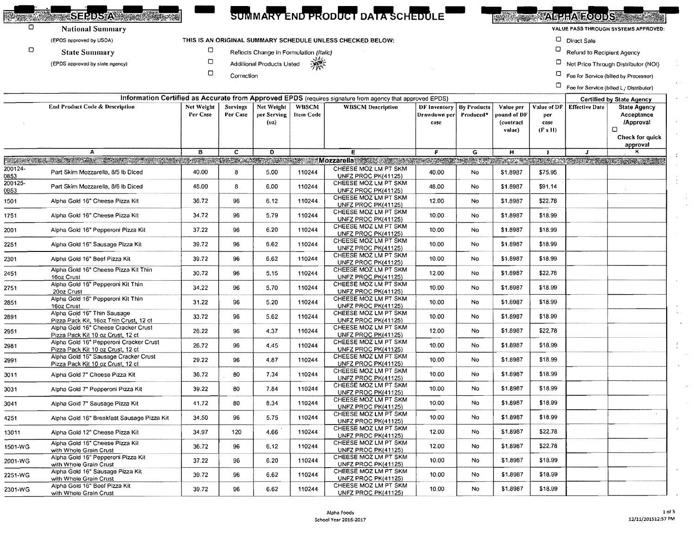| <b>SELLA CITY</b>                         |            |                 |                                         |           | SUMMARY END PRODUCT DATA SCHEDULE                                                                        |                            |           |                      |                        | <b>TARTA ROODS</b>         |                                              |
|-------------------------------------------|------------|-----------------|-----------------------------------------|-----------|----------------------------------------------------------------------------------------------------------|----------------------------|-----------|----------------------|------------------------|----------------------------|----------------------------------------------|
| <b>National Summary</b>                   |            |                 |                                         |           |                                                                                                          |                            |           |                      |                        |                            | VALUE PASS THROUGH SYSTEMS APPROVED:         |
| (EPDS approved by USDA)                   |            |                 |                                         |           | THIS IS AN ORIGINAL SUMMARY SCHEDULE UNLESS CHECKED BELOW:                                               |                            |           |                      |                        | D Direct Sale              |                                              |
| <b>State Summary</b>                      | о          |                 | Reflects Change in Formulation (Italic) |           |                                                                                                          |                            |           |                      | o                      | Refund to Reciplent Agency |                                              |
| (EPDS approved by state agency)           |            |                 | <b>Additional Products Listed</b>       | 濑         |                                                                                                          |                            |           |                      |                        |                            | $\Box$ Net Price Through Distributor (NOI)   |
|                                           |            | Correction      |                                         |           |                                                                                                          |                            |           |                      |                        |                            | $\Box$ Fee for Service (billed by Processor) |
|                                           |            |                 |                                         |           |                                                                                                          |                            |           |                      |                        |                            | Fee for Service (billed L. Distributer)      |
|                                           |            |                 |                                         |           | Information Certified as Accurate from Approved EPDS (requires signature from agency that approved EPDS) |                            |           |                      |                        |                            | <b>Certified by State Agency</b>             |
| <b>End Product Code &amp; Description</b> | Net Weight | <b>Servings</b> | Net Weight                              | WBSCM     | <b>WBSCM Description</b>                                                                                 | DF Inventory   By Products |           | Value per            | Value of DF            | <b>Effective Date</b>      | <b>State Agency</b>                          |
|                                           | Per Case   | Per Case        | per Serving                             | Item Code |                                                                                                          | Drawdown per               | Produced* | pound of DF.         | per                    |                            | Acceptance                                   |
|                                           |            |                 | (02)                                    |           |                                                                                                          | case                       |           | (contract)<br>value) | case<br>$(F \times H)$ |                            | <b>/Approval</b>                             |
|                                           |            |                 |                                         |           |                                                                                                          |                            |           |                      |                        |                            | Check for quick                              |

**ROAD** 

п

 $\Box$ 

|                 |                                                                                                                                                                                                                               |       |                |      |        |                                                    |       |           | value)   | $(F \times H)$ |   | $\Box$                      |
|-----------------|-------------------------------------------------------------------------------------------------------------------------------------------------------------------------------------------------------------------------------|-------|----------------|------|--------|----------------------------------------------------|-------|-----------|----------|----------------|---|-----------------------------|
|                 |                                                                                                                                                                                                                               |       |                |      |        |                                                    |       |           |          |                |   | Check for quick<br>approval |
|                 | $\mathbf{A}$                                                                                                                                                                                                                  | B     | $\overline{c}$ | D    |        | Е                                                  | F.    | G         | н        | $\mathbf{1}$   | J | к                           |
|                 | PACKAGE AND THE RESERVE OF THE RESERVE OF THE RESERVE OF THE RESERVE OF THE RESERVE OF THE RESERVE OF THE RESERVE OF THE RESERVE OF THE RESERVE OF THE RESERVE OF THE RESERVE OF THE RESERVE OF THE RESERVE OF THE RESERVE OF |       |                |      |        |                                                    |       |           |          |                |   |                             |
| 200124-<br>0853 | Part Skim Mozzarella, 8/5 lb Diced                                                                                                                                                                                            | 40.00 | 8              | 5.00 | 110244 | CHEESE MOZ LM PT SKM<br><b>UNFZ PROC PK(41125)</b> | 40.00 | No.       | \$1.8987 | \$75.95        |   |                             |
| 200125-<br>0853 | Part Skim Mozzarella, 8/6 lb Diced                                                                                                                                                                                            | 48.00 | 8              | 6.00 | 110244 | CHEESE MOZ LM PT SKM<br><b>UNFZ PROC PK(41125)</b> | 48.00 | No        | \$1.8987 | \$91.14        |   |                             |
| 1501            | Alpha Gold 16" Cheese Pizza Kit                                                                                                                                                                                               | 36.72 | 96             | 6.12 | 110244 | CHEESE MOZ LM PT SKM<br>UNFZ PROC PK(41125)        | 12.00 | <b>No</b> | \$1.8987 | \$22.78        |   |                             |
| 1751            | Alpha Gold 16" Cheese Pizza Kit                                                                                                                                                                                               | 34,72 | 96             | 5.79 | 110244 | CHEESE MOZ LM PT SKM<br>UNFZ PROC PK(41125)        | 10.00 | <b>No</b> | \$1.8987 | \$18.99        |   |                             |
| 2001            | Alpha Gold 16" Pepperoni Pizza Kit                                                                                                                                                                                            | 37.22 | 96             | 6.20 | 110244 | CHEESE MOZ LM PT SKM<br>UNFZ PROC PK(41125)        | 10.00 | No        | \$1,8987 | \$18.99        |   |                             |
| 2251            | Alpha Gold 16" Sausage Pizza Kit                                                                                                                                                                                              | 39.72 | 96             | 6.62 | 110244 | CHEESE MOZ LM PT SKM<br>UNFZ PROC PK(41125)        | 10.00 | No.       | \$1,8987 | \$18,99        |   |                             |
| 2301            | Alpha Gold 16" Beef Pizza Kit                                                                                                                                                                                                 | 39.72 | 96             | 6.62 | 110244 | CHEESE MOZ LM PT SKM<br>UNFZ PROC PK(41125)        | 10.00 | No        | \$1,8987 | \$18.99        |   |                             |
| 2451            | Alpha Gold 16" Cheese Pizza Kit Thin<br>16oz Crust                                                                                                                                                                            | 30.72 | 96             | 5.15 | 110244 | CHEESE MOZ LM PT SKM<br><b>UNFZ PROC PK(41125)</b> | 12.00 | No.       | \$1,8987 | \$22.78        |   |                             |
| 2751            | Alpha Gold 16" Pepperoni Kit Thin<br>20oz Crust                                                                                                                                                                               | 34.22 | 96             | 5.70 | 110244 | CHEESE MOZ LM PT SKM<br>UNFZ PROC PK(41125)        | 10.00 | No.       | \$1,8987 | \$18.99        |   |                             |
| 2851            | Alpha Gold 16" Pepperoni Kit Thin<br>16oz Crust                                                                                                                                                                               | 31.22 | 96             | 5.20 | 110244 | CHEESE MOZ LM PT SKM<br>UNFZ PROC PK(41125)        | 10.00 | <b>No</b> | \$1.8987 | \$18.99        |   |                             |
| 2891            | Alpha Gold 16" Thin Sausage<br>Pizza Pack Kit, 16oz Thin Crust, 12 ct                                                                                                                                                         | 33.72 | 96             | 5.62 | 110244 | CHEESE MOZ LM PT SKM<br>UNFZ PROC PK(41125)        | 10.00 | <b>No</b> | \$1.8987 | \$18.99        |   |                             |
| 2951            | Alpha Gold 16" Cheese Cracker Crust<br>Pizza Pack Kit 10 oz Crust, 12 ct                                                                                                                                                      | 26.22 | 96             | 4.37 | 110244 | CHEESE MOZ LM PT SKM<br>UNFZ PROC PK(41125)        | 12.00 | No        | \$1.8987 | \$22.78        |   |                             |
| 2981            | Alpha Gold 16" Pepperoni Cracker Crust<br>Pizza Pack Kit 10 oz Crust, 12 ct                                                                                                                                                   | 26.72 | 96             | 4.45 | 110244 | CHEESE MOZ LM PT SKM<br>UNFZ PROC PK(41125)        | 10.00 | No.       | \$1.8987 | \$18.99        |   |                             |
| 2991            | Alpha Gold 16" Sausage Cracker Crust<br>Pizza Pack Kit 10 oz Crust, 12 ct                                                                                                                                                     | 29.22 | 96             | 4.87 | 110244 | CHEESE MOZ LM PT SKM<br>UNFZ PROC PK(41125)        | 10.00 | No        | \$1.8987 | \$18.99        |   |                             |
| 3011            | Alpha Gold 7" Cheese Pizza Kit                                                                                                                                                                                                | 36.72 | 80             | 7.34 | 110244 | CHEESE MOZ LM PT SKM<br><b>UNFZ PROC PK(41125)</b> | 10.00 | <b>No</b> | \$1.8987 | \$18.99        |   |                             |
| 3031            | Alpha Gold 7" Pepperoni Pizza Kit                                                                                                                                                                                             | 39.22 | 80             | 7.84 | 110244 | CHEESE MOZ LM PT SKM<br>UNFZ PROC PK(41125)        | 10.00 | No        | \$1.8987 | \$18.99        |   |                             |
| 3041            | Alpha Gold 7" Sausage Pizza Kit                                                                                                                                                                                               | 41.72 | 80             | 8.34 | 110244 | CHEESE MOZ LM PT SKM<br>UNFZ PROC PK(41125)        | 10.00 | No        | \$1,8987 | \$18.99        |   |                             |
| 4251            | Alpha Gold 16" Breakfast Sausage Pizza Kit                                                                                                                                                                                    | 34.50 | 96             | 5.75 | 110244 | CHEESE MOZ LM PT SKM<br>UNFZ PROC PK(41125)        | 10.00 | No.       | \$1.8987 | \$18.99        |   |                             |
| 13011           | Alpha Gold 12" Cheese Pizza Kit                                                                                                                                                                                               | 34.97 | 120            | 4.66 | 110244 | CHEESE MOZ LM PT SKM<br><b>UNFZ PROC PK(41125)</b> | 12.00 | No        | \$1,8987 | \$22.78        |   |                             |
| 1501-WG         | Alpha Gold 16" Cheese Pizza Kit<br>with Whole Grain Crust                                                                                                                                                                     | 36.72 | 96             | 6.12 | 110244 | CHEESE MOZ LM PT SKM<br><b>UNFZ PROC PK(41125)</b> | 12.00 | No        | \$1,8987 | \$22.78        |   |                             |
| 2001-WG         | Alpha Gold 16" Pepperoni Pizza Kit<br>with Whole Grain Crust                                                                                                                                                                  | 37.22 | 96             | 6.20 | 110244 | CHEESE MOZ LM PT SKM<br>UNFZ PROC PK(41125)        | 10.00 | <b>No</b> | \$1,8987 | \$18.99        |   |                             |
| 2251-WG         | Alpha Gold 16" Sausage Pizza Kit<br>with Whole Grain Crust                                                                                                                                                                    | 39.72 | 96             | 6.62 | 110244 | CHEESE MOZ LM PT SKM<br>UNFZ PROC PK(41125)        | 10.00 | No        | \$1.8987 | \$18.99        |   |                             |
| 2301-WG         | Alpha Gold 16" Beef Pizza Kit<br>with Whole Grain Crust                                                                                                                                                                       | 39.72 | 96             | 6.62 | 110244 | CHEESE MOZ LM PT SKM<br>UNFZ PROC PK(41125)        | 10.00 | No        | \$1.8987 | \$18.99        |   |                             |

 $\sim$  $\overline{ }$ 

 $\mathcal{L}$ 

 $\ddot{\tau}$ 

 $\frac{1}{2}$ 

 $\ddot{\phantom{a}}$ 

 $\mathcal{A}^{\pm}$  $\mathcal{V}_{\mathrm{c}}$  .  $\sim$ 

 $\frac{1}{3}$  .  $\sim$  $\hat{\mathcal{L}}$ 

 $\ddot{\phantom{a}}$  $\overline{a}$ 

 $\cdot$ 

 $\blacksquare$ 

 $\mathcal{L}$ 

 $\frac{1}{2}$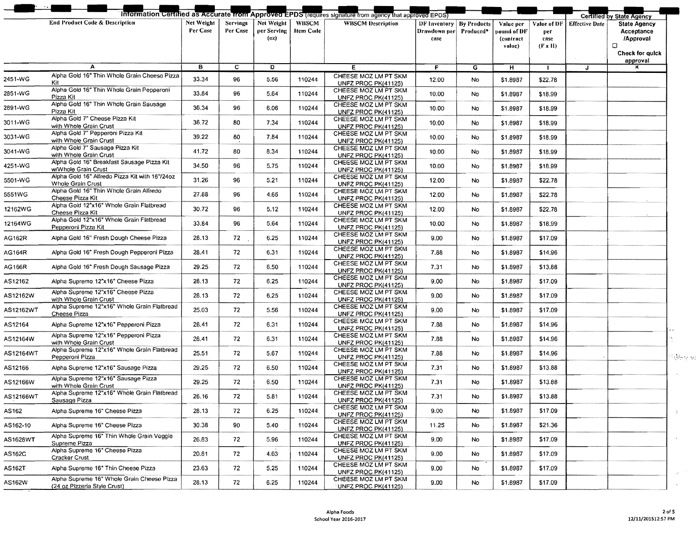|           |                                                                            |          |          |                     |                 |                                                    | <b>DF Inventory   By Products</b> |           | Value per                          | Value of DF                   |   | <b>State Agency</b>                             |
|-----------|----------------------------------------------------------------------------|----------|----------|---------------------|-----------------|----------------------------------------------------|-----------------------------------|-----------|------------------------------------|-------------------------------|---|-------------------------------------------------|
|           |                                                                            | Per Case | Per Case | per Serving<br>(02) | <b>Hem Code</b> |                                                    | Drawdown per <br>case             | Produced* | pound of DF<br>(contract<br>value) | per<br>case<br>$(F \times H)$ |   | Acceptance<br>/Approval<br>α<br>Check for guick |
|           | A                                                                          | в        | C.       | D                   |                 | Е                                                  | F                                 | G         | н                                  | $\mathbf{I}$                  | J | approval                                        |
|           | Alpha Gold 16" Thin Whole Grain Cheese Pizza                               |          |          |                     |                 | CHEESE MOZ LM PT SKM                               |                                   |           |                                    |                               |   |                                                 |
| 2451-WG   | Kit                                                                        | 33.34    | 96       | 5.56                | 110244          | UNFZ PROC PK(41125)                                | 12.00                             | No.       | \$1.8987                           | \$22.78                       |   |                                                 |
| 2851-WG   | Alpha Gold 16" Thin Whole Grain Peppereni<br>Pizza Kit                     | 33.84    | 96       | 5.64                | 110244          | CHEESE MOZ LM PT SKM<br>UNFZ PROC PK(41125)        | 10,00                             | No        | \$1.8987                           | \$18.99                       |   |                                                 |
| 2891-WG   | Alpha Gold 16" Thin Whole Grain Sausage                                    | 36.34    | 96       | 6.06                | 110244          | CHEESE MOZ LM PT SKM                               | 10.00                             | No.       | \$1.8987                           | \$18.99                       |   |                                                 |
|           | Pizza Kit<br>Alpha Gold 7" Cheese Pizza Kit                                |          |          |                     |                 | UNFZ PROC PK(41125)<br>CHEESE MOZ LM PT SKM        |                                   |           |                                    |                               |   |                                                 |
| 3011-WG   | with Whole Grain Crust                                                     | 36.72    | 80       | 7.34                | 110244          | UNFZ PROC PK(41125)                                | 10.00                             | No        | \$1,8987                           | \$18.99                       |   |                                                 |
| 3031-WG   | Alpha Gold 7" Pepperoni Pizza Kit<br>with Whole Grain Crust                | 39.22    | 80       | 7.84                | 110244          | CHEESE MOZ LM PT SKM                               | 10.00                             | No.       | \$1.8987                           | \$18.99                       |   |                                                 |
|           | Alpha Gold 7" Sausage Pizza Kit                                            |          |          |                     |                 | UNFZ PROC PK(41125)<br>CHEESE MOZ LM PT SKM        |                                   |           |                                    |                               |   |                                                 |
| 3041-WG   | with Whole Grain Crust                                                     | 41.72    | 80       | 8.34                | 110244          | UNFZ PROC PK(41125)                                | 10.00                             | No        | \$1.8987                           | \$18.99                       |   |                                                 |
| 4251-WG   | Alpha Gold 16" Breakfast Sausage Pizza Kit<br>w/Whole Grain Crust          | 34.50    | 96       | 5.75                | 110244          | CHEESE MOZ LM PT SKM<br>UNFZ PROC PK(41125)        | 10.00                             | No        | \$1,8987                           | \$18.99                       |   |                                                 |
| 5501-WG   | Alpha Gold 16" Alfredo Pizza Kit with 16"/24oz                             | 31.26    | 96       | 5.21                | 110244          | CHEESE MOZ LM PT SKM                               | 12.00                             | No        | \$1.8987                           | \$22.78                       |   |                                                 |
|           | Whole Grain Crust<br>Alpha Gold 16" Thin Whole Grain Alfredo               |          |          |                     |                 | UNFZ PROC PK(41125)<br>CHEESE MOZ LM PT SKM        |                                   |           |                                    |                               |   |                                                 |
| 5551WG    | Cheese Pizza Kit                                                           | 27.88    | 96       | 4.65                | 110244          | UNFZ PROC PK(41125)                                | 12.00                             | No        | \$1.8987                           | \$22.78                       |   |                                                 |
| 12162WG   | Alpha Gold 12"x16" Whole Grain Flatbread<br>Cheese Pizza Kit               | 30.72    | 96       | 5.12                | 110244          | CHEESE MOZ LM PT SKM<br><b>UNFZ PROC PK(41125)</b> | 12.00                             | <b>No</b> | \$1.8987                           | \$22.78                       |   |                                                 |
| 12164WG   | Alpha Gold 12"x16" Whole Grain Flatbread                                   | 33.84    | 96       | 5.64                | 110244          | CHEESE MOZ LM PT SKM                               | 10.00                             | No        | \$1,8987                           | \$18.99                       |   |                                                 |
|           | Pepperoni Pizza Kit                                                        |          |          |                     |                 | UNFZ PROC PK(41125)<br>CHEESE MOZ LM PT SKM        |                                   |           |                                    |                               |   |                                                 |
| AG162R    | Alpha Gold 16" Fresh Dough Cheese Pizza                                    | 28.13    | 72       | 6.25                | 110244          | UNFZ PROC PK(41125)                                | 9.00                              | No        | \$1.8987                           | \$17.09                       |   |                                                 |
| AG164R    | Alpha Gold 16" Fresh Dough Pepperoni Pizza                                 | 28.41    | 72       | 6.31                | 110244          | CHEESE MOZ LM PT SKM                               | 7.88                              | No        | \$1.8987                           | \$14.96                       |   |                                                 |
|           |                                                                            |          |          |                     |                 | UNFZ PROC PK(41125)<br>CHEESE MOZ LM PT SKM        |                                   |           |                                    |                               |   |                                                 |
| AG166R    | Alpha Gold 16" Fresh Dough Sausage Pizza                                   | 29.25    | 72       | 6.50                | 110244          | UNFZ PROC PK(41125)                                | 7.31                              | <b>No</b> | \$1.8987                           | \$13.88                       |   |                                                 |
| AS12162   | Alpha Supremo 12"x16" Cheese Pizza                                         | 28.13    | 72       | 6.25                | 110244          | CHEESE MOZ LM PT SKM<br>UNFZ PROC PK(41125)        | 9.00                              | No        | \$1.8987                           | \$17.09                       |   |                                                 |
| AS12162W  | Alpha Supreme 12"x16" Cheese Pizza                                         | 28.13    | 72       | 6.25                | 110244          | CHEESE MOZ LM PT SKM                               | 9.00                              | <b>No</b> | \$1.8987                           | \$17.09                       |   |                                                 |
|           | with Whole Grain Crust<br>Alpha Supreme 12"x16" Whole Grain Flatbread      |          |          |                     |                 | UNFZ PROC PK(41125)<br>CHEESE MOZ LM PT SKM        |                                   |           |                                    |                               |   |                                                 |
| AS12162WT | Cheese Pizza                                                               | 25.03    | 72       | 5.56                | 110244          | UNFZ PROC PK(41125)                                | 9.00                              | <b>No</b> | \$1.8987                           | \$17.09                       |   |                                                 |
| AS12164   | Alpha Supreme 12"x16" Pepperoni Pizza                                      | 28.41    | 72       | 6.31                | 110244          | CHEESE MOZ LM PT SKM<br>UNFZ PROC PK(41125)        | 7.88                              | No.       | \$1.8987                           | \$14.96                       |   |                                                 |
|           | Alpha Supreme 12"x16" Pepperoni Pizza                                      | 28.41    | 72       | 6,31                | 110244          | CHEESE MOZ LM PT SKM                               | 7.88                              | <b>No</b> | \$1.8987                           | \$14.96                       |   |                                                 |
| AS12164W  | with Whole Grain Crust                                                     |          |          |                     |                 | UNFZ PROC PK(41125)                                |                                   |           |                                    |                               |   |                                                 |
| AS12164WT | Alpha Supreme 12"x16" Whole Grain Flatbread<br>Pepperoni Pizza             | 25.51    | 72       | 5.67                | 110244          | CHEESE MOZ LM PT SKM<br>UNFZ PROC PK(41125)        | 7.88                              | No        | \$1.8987                           | \$14.96                       |   |                                                 |
| AS12166   | Alpha Supreme 12"x16" Sausage Pizza                                        | 29.25    | 72       | 6.50                | 110244          | CHEESE MOZ LM PT SKM                               | 7,31                              | No        | \$1.8987                           | \$13.88                       |   |                                                 |
|           | Alpha Supreme 12"x16" Sausage Pizza                                        |          |          |                     |                 | <b>UNFZ PROC PK(41125)</b><br>CHEESE MOZ LM PT SKM |                                   |           |                                    |                               |   |                                                 |
| AS12166W  | with Whole Grain Crust                                                     | 29.25    | 72       | 6.50                | 110244          | <b>UNFZ PROC PK(41125)</b>                         | 7.31                              | No        | \$1.8987                           | \$13.88                       |   |                                                 |
| AS12166WT | Alpha Supreme 12"x16" Whole Grain Flatbread<br>Sausage Pizza               | 26.16    | 72       | 5.81                | 110244          | CHEESE MOZ LM PT SKM<br>UNFZ PROC PK(41125)        | 7.31                              | No        | \$1.8987                           | \$13.88                       |   |                                                 |
| AS162     | Alpha Supreme 16" Cheese Pizza                                             | 28.13    | 72       | 6.25                | 110244          | CHEESE MOZ LM PT SKM                               | 9.00                              | No.       | \$1.8987                           | \$17.09                       |   |                                                 |
|           |                                                                            |          |          |                     |                 | UNFZ PROC PK(41125)<br>CHEESE MOZ LM PT SKM        |                                   |           |                                    |                               |   |                                                 |
| AS162-10  | Alpha Supreme 16" Cheese Pizza                                             | 30.38    | 90       | 5.40                | 110244          | UNFZ PROC PK(41125)                                | 11.25                             | No        | \$1.8987                           | \$21.36                       |   |                                                 |
| AS1628WT  | Alpha Supreme 16" Thin Whole Grain Veggie<br>Supreme Pizza                 | 26.83    | 72       | 5.96                | 110244          | CHEESE MOZ LM PT SKM<br>UNFZ PROC PK(41125)        | 9.00                              | No        | \$1.8987                           | \$17.09                       |   |                                                 |
|           | Alpha Supreme 16" Cheese Pizza                                             | 20.81    | 72       | 4.63                | 110244          | CHEESE MOZ LM PT SKM                               | 9.00                              | No        | \$1.8987                           | \$17.09                       |   |                                                 |
| AS162C    | Cracker Crust                                                              |          |          |                     |                 | UNFZ PROC PK(41125)                                |                                   |           |                                    |                               |   |                                                 |
| AS162T    | Alpha Supreme 16" Thin Cheese Pizza                                        | 23.63    | 72       | 5.25                | 110244          | CHEESE MOZ LM PT SKM<br>UNFZ PROC PK(41125)        | 9.00                              | No.       | \$1.8987                           | \$17.09                       |   |                                                 |
| AS162W    | Alpha Supreme 16" Whole Grain Cheese Pizza<br>(24 oz Pizzeria Style Crust) | 28.13    | 72       | 6.25                | 110244          | CHEESE MOZ LM PT SKM<br>UNFZ PROC PK(41125)        | 9.00                              | No        | \$1.8987                           | \$17.09                       |   |                                                 |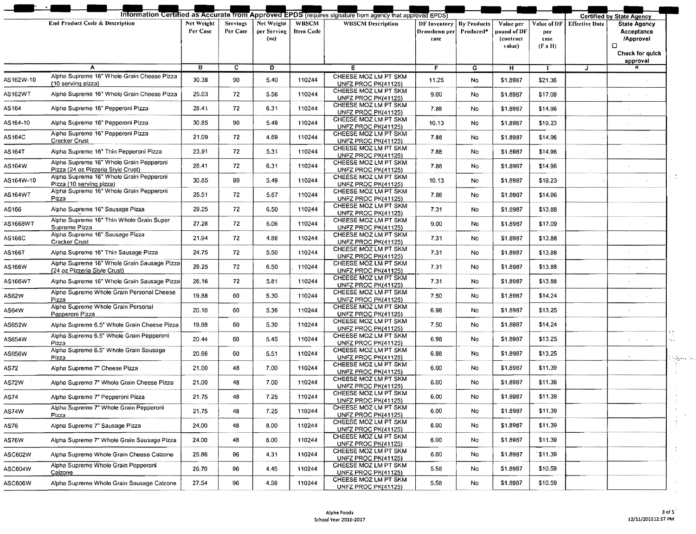|                |                                                                               |                        |                             |                                   |                                  | Information Certified as Accurate from Approved EPDS (requires signature from agency that approved EPDS) |                                                           |                |                                                 |                                              |                       | <b>Certified by State Agency</b>                                                   |
|----------------|-------------------------------------------------------------------------------|------------------------|-----------------------------|-----------------------------------|----------------------------------|----------------------------------------------------------------------------------------------------------|-----------------------------------------------------------|----------------|-------------------------------------------------|----------------------------------------------|-----------------------|------------------------------------------------------------------------------------|
|                | <b>End Product Code &amp; Description</b>                                     | Net Weight<br>Per Case | <b>Servings</b><br>Per Case | Net Weight<br>per Serving<br>(oz) | <b>WBSCM</b><br><b>Item Code</b> | <b>WBSCM Description</b>                                                                                 | <b>DF Inventory   By Products</b><br>Drawdown per<br>case | Produced*      | Value per<br>pound of DF<br>(contract<br>value) | Value of DF<br>рег<br>case<br>$(F \times H)$ | <b>Effective Date</b> | <b>State Agency</b><br>Acceptance<br>/Approval<br>o<br>Check for quick<br>approval |
|                | A                                                                             | в                      | $\mathbf{c}$                | D                                 |                                  | Е                                                                                                        | F                                                         | $\overline{G}$ | H                                               | $\mathbf{I}$                                 | $\mathbf{J}$          | ĸ                                                                                  |
| 4S162W-10      | Alpha Supreme 16" Whole Grain Cheese Pizza<br>(10 serving pizza)              | 30.38                  | 90                          | 5.40                              | 110244                           | CHEESE MOZ LM PT SKM<br>UNFZ PROC PK(41125)                                                              | 11.25                                                     | No.            | \$1.8987                                        | \$21.36                                      |                       |                                                                                    |
| 4S162WT        | Alpha Supreme 16" Whole Grain Cheese Pizza                                    | 25.03                  | 72                          | 5.56                              | 110244                           | CHEESE MOZ LM PT SKM<br>UNFZ PROC PK(41125)                                                              | 9.00                                                      | No             | \$1.8987                                        | \$17.09                                      |                       |                                                                                    |
| <b>AS164</b>   | Alpha Supreme 16" Pepperoni Pizza                                             | 28.41                  | 72                          | 6.31                              | 110244                           | CHEESE MOZ LM PT SKM<br>UNFZ PROC PK(41125)                                                              | 7.88                                                      | No.            | \$1.8987                                        | \$14.96                                      |                       |                                                                                    |
| 4S164-10       | Alpha Supreme 16" Pepperoni Pizza                                             | 30.85                  | 90                          | 5.49                              | 110244                           | CHEESE MOZ LM PT SKM<br><b>UNFZ PROC PK(41125)</b>                                                       | 10.13                                                     | No             | \$1,8987                                        | \$19.23                                      |                       |                                                                                    |
| 4S164C         | Alpha Supreme 16" Pepperoni Pizza<br>Cracker Crust                            | 21.09                  | 72                          | 4.69                              | 110244                           | CHEESE MOZ LM PT SKM<br><b>UNFZ PROC PK(41125)</b>                                                       | 7.88                                                      | No             | \$1.8987                                        | \$14.96                                      |                       |                                                                                    |
| 4S 164T        | Alpha Supreme 16" Thin Pepperoni Pizza                                        | 23.91                  | 72                          | 5.31                              | 110244                           | CHEESE MOZ LM PT SKM<br>UNFZ PROC PK(41125)                                                              | 7.88                                                      | No             | \$1.8987                                        | \$14.96                                      |                       |                                                                                    |
| AS164W         | Alpha Supreme 16" Whole Grain Pepperoni<br>Pizza (24 oz Pizzeria Style Crust) | 28.41                  | 72                          | 6.31                              | 110244                           | CHEESE MOZ LM PT SKM<br>UNFZ PROC PK(41125)                                                              | 7.88                                                      | No             | \$1.8987                                        | \$14.96                                      |                       |                                                                                    |
| 4S164W-10      | Alpha Supreme 16" Whole Grain Pepperoni<br>Pizza (10 serving pizza)           | 30.85                  | 90                          | 5.49                              | 110244                           | CHEESE MOZ LM PT SKM<br>UNFZ PROC PK(41125)                                                              | 10.13                                                     | No.            | \$1.8987                                        | \$19.23                                      |                       |                                                                                    |
| 4S164WT        | Alpha Supreme 16" Whole Grain Pepperoni<br>Pizza                              | 25.51                  | 72                          | 5.67                              | 110244                           | CHEESE MOZ LM PT SKM<br><b>UNFZ PROC PK(41125)</b>                                                       | 7.88                                                      | No             | \$1.8987                                        | \$14.96                                      |                       |                                                                                    |
| 4S166.         | Alpha Supreme 16" Sausage Pizza                                               | 29.25                  | 72                          | 6.50                              | 110244                           | CHEESE MOZ LM PT SKM<br>UNFZ PROC PK(41125)                                                              | 7.31                                                      | No             | \$1.8987                                        | \$13.88                                      |                       |                                                                                    |
| 4S1668WT       | Alpha Supreme 16" Thin Whole Grain Super<br>Supreme Pizza                     | 27.28                  | 72                          | 6.06                              | 110244                           | CHEESE MOZ LM PT SKM<br><b>UNFZ PROC PK(41125)</b>                                                       | 9.00                                                      | No             | \$1.8987                                        | \$17.09                                      |                       |                                                                                    |
| 4S166C         | Alpha Supreme 16" Sausage Pizza<br><b>Cracker Crust</b>                       | 21.94                  | 72                          | 4.88                              | 110244                           | CHEESE MOZ LM PT SKM<br>UNFZ PROC PK(41125)                                                              | 7.31                                                      | No.            | \$1.8987                                        | \$13.88                                      |                       |                                                                                    |
| 4S166T         | Alpha Supreme 16" Thin Sausage Pizza                                          | 24.75                  | 72                          | 5.50                              | 110244                           | CHEESE MOZ LM PT SKM<br><b>UNFZ PROC PK(41125)</b>                                                       | 7.31                                                      | No             | \$1.8987                                        | \$13.88                                      |                       |                                                                                    |
| AS166W         | Alpha Supreme 16" Whole Grain Sausage Pizza<br>(24 oz Pizzería Style Crust)   | 29.25                  | 72                          | 6.50                              | 110244                           | CHEESE MOZ LM PT SKM<br><b>UNFZ PROC PK(41125)</b>                                                       | 7.31                                                      | No.            | \$1,8987                                        | \$13.88                                      |                       | $\sim$                                                                             |
| <b>AS166WT</b> | Alpha Supreme 16" Whole Grain Sausage Pizza                                   | 26.16                  | 72                          | 5.81                              | 110244                           | CHEESE MOZ LM PT SKM<br><b>UNFZ PROC PK(41125)</b>                                                       | 7.31                                                      | No             | \$1,8987                                        | \$13.88                                      |                       |                                                                                    |
| <b>AS62W</b>   | Alpha Supreme Whole Grain Personal Cheese<br>Pizza                            | 19.88                  | 60                          | 5.30                              | 110244                           | CHEESE MOZ LM PT SKM<br>UNFZ PROC PK(41125)                                                              | 7.50                                                      | No             | \$1.8987                                        | \$14.24                                      |                       |                                                                                    |
| 4S64W          | Alpha Supreme Whole Grain Personal<br>Pepperoni Pizza                         | 20.10                  | 60                          | 5.36                              | 110244                           | CHEESE MOZ LM PT SKM<br>UNFZ PROC PK(41125)                                                              | 6.98                                                      | No             | \$1.8987                                        | \$13.25                                      |                       |                                                                                    |
| 4S652W         | Alpha Supreme 6.5" Whole Grain Cheese Pizza                                   | 19.88                  | 60                          | 5.30                              | 110244                           | CHEESE MOZ LM PT SKM<br>UNFZ PROC PK(41125)                                                              | 7.50                                                      | No.            | \$1.8987                                        | \$14.24                                      |                       |                                                                                    |
| 4S654W         | Alpha Supreme 6.5" Whole Grain Pepperoni<br>Pizza                             | 20.44                  | 60                          | 5.45                              | 110244                           | CHEESE MOZ LM PT SKM<br>UNFZ PROC PK(41125)                                                              | 6.98                                                      | No.            | \$1.8987                                        | \$13.25                                      |                       | $\sim$<br>n.                                                                       |
| 4S656W         | Alpha Supreme 6.5" Whole Grain Sausage<br>Pizza                               | 20.66                  | 60                          | 5.51                              | 110244                           | CHEESE MOZ LM PT SKM<br>UNFZ PROC PK(41125)                                                              | 6.98                                                      | No             | \$1.8987                                        | \$13.25                                      |                       |                                                                                    |
| 4S72.          | Alpha Supreme 7" Cheese Pizza                                                 | 21.00                  | 48                          | 7.00                              | 110244                           | CHEESE MOZ LM PT SKM<br><b>UNFZ PROC PK(41125)</b>                                                       | 6.00                                                      | No.            | \$1,8987                                        | \$11.39                                      |                       | $\alpha$ and $\alpha$ and $\alpha$ and                                             |
| <b>AS72W</b>   | Alpha Supreme 7" Whole Grain Cheese Pizza                                     | 21.00                  | 48                          | 7.00                              | 110244                           | CHEESE MOZ LM PT SKM<br>UNFZ PROC PK(41125)                                                              | 6.00                                                      | No             | \$1.8987                                        | \$11.39                                      |                       |                                                                                    |
| 4S74           | Alpha Supreme 7" Pepperoni Pizza                                              | 21.75                  | 48                          | 7.25                              | 110244                           | CHEESE MOZ LM PT SKM<br>UNFZ PROC PK(41125)                                                              | 6.00                                                      | No             | \$1,8987                                        | \$11.39                                      |                       |                                                                                    |
| 4S74W          | Alpha Supreme 7" Whole Grain Pepperoni<br>Pizza                               | 21.75                  | 48                          | 7.25                              | 110244                           | CHEESE MOZ LM PT SKM<br>UNFZ PROC PK(41125)                                                              | 6.00                                                      | No             | \$1.8987                                        | \$11.39                                      |                       |                                                                                    |
| 4S76.          | Alpha Supreme 7" Sausage Pizza                                                | 24.00                  | 48                          | 8.00                              | 110244                           | CHEESE MOZ LM PT SKM<br>UNFZ PROC PK(41125)                                                              | 6.00                                                      | No.            | \$1.8987                                        | \$11.39                                      |                       | ÷                                                                                  |
| 4S76W          | Alpha Supreme 7" Whole Grain Sausage Pizza                                    | 24.00                  | 48                          | 8.00                              | 110244                           | CHEESE MOZ LM PT SKM                                                                                     | 6.00                                                      | No             | \$1.8987                                        | \$11.39                                      |                       |                                                                                    |
| <b>ASC602W</b> | Alpha Supreme Whole Grain Cheese Calzone                                      | 25.86                  | 96                          | 4.31                              | 110244                           | UNFZ PROC PK(41125)<br>CHEESE MOZ LM PT SKM                                                              | 6.00                                                      | No             | \$1.8987                                        | \$11.39                                      |                       | $\ddot{\phantom{a}}$                                                               |
| <b>ASC604W</b> | Alpha Supreme Whole Grain Pepperoni                                           | 26.70                  | 96                          | 4.45                              | 110244                           | <b>UNFZ PROC PK(41125)</b><br>CHEESE MOZ LM PT SKM                                                       | 5.58                                                      | <b>No</b>      | \$1,8987                                        | \$10.59                                      |                       |                                                                                    |
| <b>ASC606W</b> | Calzone<br>Alpha Supreme Whole Grain Sausage Calzone                          | 27.54                  | 96                          | 4.59                              | 110244                           | UNFZ PROC PK(41125)<br>CHEESE MOZ LM PT SKM                                                              | 5.58                                                      | No             | \$1.8987                                        | \$10.59                                      |                       |                                                                                    |
|                |                                                                               |                        |                             |                                   |                                  | UNFZ PROC PK(41125)                                                                                      |                                                           |                |                                                 |                                              |                       |                                                                                    |

 $\overline{1}$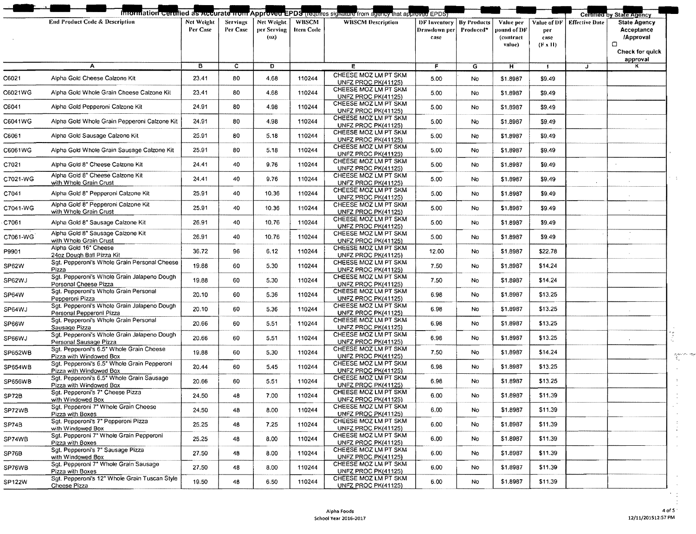|          |                                                                        |                        |                      |                                    |                                  | Information certified as Accurate from Approved EPDS (requires signature from agency that approved EPDS) |                                      |                                 |                                                 |                                              |                       | Certified by State Agency                                                               |
|----------|------------------------------------------------------------------------|------------------------|----------------------|------------------------------------|----------------------------------|----------------------------------------------------------------------------------------------------------|--------------------------------------|---------------------------------|-------------------------------------------------|----------------------------------------------|-----------------------|-----------------------------------------------------------------------------------------|
|          | <b>End Product Code &amp; Description</b>                              | Net Weight<br>Per Case | Servings<br>Per Case | Net Weight.<br>per Serving<br>(0z) | <b>WBSCM</b><br><b>Item Code</b> | <b>WBSCM Description</b>                                                                                 | DF Inventory<br>Drawdown per<br>case | <b>By Products</b><br>Produced* | Value per<br>pound of DF<br>(contract<br>value) | Value of DF<br>per<br>case<br>$(F \times H)$ | <b>Effective Date</b> | <b>State Agency</b><br>Acceptance<br>/Approval<br>$\Box$<br>Check for quick<br>approval |
|          | А                                                                      | $\overline{B}$         | $\overline{c}$       | D                                  |                                  | E                                                                                                        | F                                    | $\overline{G}$                  | Ħ                                               | $\mathbf{I}$                                 | J                     |                                                                                         |
| C6021    | Alpha Gold Cheese Calzone Kit                                          | 23.41                  | 80                   | 4.68                               | 110244                           | CHEESE MOZ LM PT SKM<br>UNFZ PROC PK(41125)                                                              | 5.00                                 | No                              | \$1.8987                                        | \$9.49                                       |                       |                                                                                         |
| C6021WG  | Alpha Gold Whole Grain Cheese Calzone Kit                              | 23.41                  | 80                   | 4.68                               | 110244                           | CHEESE MOZ LM PT SKM<br>UNFZ PROC PK(41125)                                                              | 5.00                                 | No                              | \$1.8987                                        | \$9.49                                       |                       |                                                                                         |
| C6041    | Alpha Gold Pepperoni Calzone Kit                                       | 24.91                  | 80                   | 4.98                               | 110244                           | CHEESE MOZ LM PT SKM<br>UNFZ PROC PK(41125)                                                              | 5.00                                 | No                              | \$1.8987                                        | \$9.49                                       |                       |                                                                                         |
| C6041WG  | Alpha Gold Whole Grain Pepperoni Calzone Kit                           | 24.91                  | 80                   | 4.98                               | 110244                           | CHEESE MOZ LM PT SKM<br>UNFZ PROC PK(41125)                                                              | 5.00                                 | No                              | \$1.8987                                        | \$9.49                                       |                       |                                                                                         |
| C6061    | Alpha Gold Sausage Calzone Kit                                         | 25.91                  | 80                   | 5.18                               | 110244                           | CHEESE MOZ LM PT SKM<br>UNFZ PROC PK(41125)                                                              | 5.00                                 | No                              | \$1,8987                                        | \$9.49                                       |                       |                                                                                         |
| C6061WG  | Alpha Gold Whole Grain Sausage Calzone Kit                             | 25.91                  | 80                   | 5.18                               | 110244                           | CHEESE MOZ LM PT SKM<br>UNFZ PROC PK(41125)                                                              | 5.00                                 | No                              | \$1.8987                                        | \$9.49                                       |                       |                                                                                         |
| C7021    | Alpha Gold 8" Cheese Calzone Kit                                       | 24.41                  | 40                   | 9.76                               | 110244                           | CHEESE MOZ LM PT SKM<br>UNFZ PROC PK(41125)                                                              | 5.00                                 | No                              | \$1.8987                                        | \$9.49                                       |                       |                                                                                         |
| C7021-WG | Alpha Gold 8" Cheese Calzone Kit<br>with Whole Grain Crust             | 24.41                  | 40                   | 9.76                               | 110244                           | CHEESE MOZ LM PT SKM<br>UNFZ PROC PK(41125)                                                              | 5.00                                 | No                              | \$1.8987                                        | \$9.49                                       |                       |                                                                                         |
| C7041    | Alpha Gold 8" Pepperoni Calzone Kit                                    | 25.91                  | 40                   | 10.36                              | 110244                           | CHEESE MOZ LM PT SKM<br>UNFZ PROC PK(41125)                                                              | 5.00                                 | No                              | \$1.8987                                        | \$9.49                                       |                       |                                                                                         |
| C7041-WG | Alpha Gold 8" Pepperoni Calzone Kit<br>with Whole Grain Crust          | 25.91                  | 40                   | 10.36                              | 110244                           | CHEESE MOZ LM PT SKM<br><b>UNFZ PROC PK(41125)</b>                                                       | 5.00                                 | No                              | \$1,8987                                        | \$9.49                                       |                       | $\sim$                                                                                  |
| C7061    | Alpha Gold 8" Sausage Calzone Kit                                      | 26.91                  | 40                   | 10.76                              | 110244                           | CHEESE MOZ LM PT SKM<br>UNFZ PROC PK(41125)                                                              | 5.00                                 | No                              | \$1.8987                                        | \$9.49                                       |                       |                                                                                         |
| C7061-WG | Alpha Gold 8" Sausage Calzone Kit<br>with Whole Grain Crust            | 26.91                  | 40                   | 10.76                              | 110244                           | CHEESE MOZ LM PT SKM<br>UNFZ PROC PK(41125)                                                              | 5.00                                 | No                              | \$1.8987                                        | \$9.49                                       |                       | $\sim$                                                                                  |
| P9901    | Alpha Gold 16" Cheese<br>24oz Dough Ball Pizza Kit                     | 36.72                  | 96                   | 6.12                               | 110244                           | CHEESE MOZ LM PT SKM                                                                                     | 12.00                                | No                              | \$1.8987                                        | \$22.78                                      |                       |                                                                                         |
| SP62W    | Sgt. Pepperoni's Whole Grain Personal Cheese                           | 19.88                  | 60                   | 5.30                               | 110244                           | UNFZ PROC PK(41125)<br>CHEESE MOZ LM PT SKM                                                              | 7.50                                 | No                              | \$1.8987                                        | \$14.24                                      |                       |                                                                                         |
| SP62WJ   | Pizza<br>Sgt. Pepperoni's Whole Grain Jalapeno Dough                   | 19.88                  | 60                   | 5.30                               | 110244                           | UNFZ PROC PK(41125)<br>CHEESE MOZ LM PT SKM                                                              | 7.50                                 | No                              | \$1.8987                                        | \$14.24                                      |                       |                                                                                         |
| SP64W    | Personal Cheese Pizza<br>Sgt. Pepperoni's Whole Grain Personal         | 20.10                  | 60                   | 5.36                               | 110244                           | UNFZ PROC PK(41125)<br>CHEESE MOZ LM PT SKM                                                              | 6.98                                 | No                              | \$1,8987                                        | \$13.25                                      |                       |                                                                                         |
| SP64WJ   | Pepperoni Pizza<br>Sgt. Pepperoni's Whole Grain Jalapeno Dough         | 20.10                  | 60                   | 5.36                               | 110244                           | UNFZ PROC PK(41125)<br>CHEESE MOZ LM PT SKM                                                              | 6.98                                 | No                              | \$1.8987                                        | \$13.25                                      |                       |                                                                                         |
| SP66W    | Personal Pepperoni Pizza<br>Sgt. Pepperoni's Whole Grain Personal      | 20.66                  | 60                   | 5.51                               | 110244                           | UNFZ PROC PK(41125)<br>CHEESE MOZ LM PT SKM                                                              | 6.98                                 | No                              | \$1.8987                                        | \$13.25                                      |                       |                                                                                         |
| SP66WJ   | Sausage Pizza<br>Sgt. Pepperoni's Whole Grain Jalapeno Dough           | 20.66                  | 60                   | 5.51                               | 110244                           | <b>UNFZ PROC PK(41125)</b><br>CHEESE MOZ LM PT SKM                                                       | 6.98                                 | No                              | \$1.8987                                        | \$13.25                                      |                       |                                                                                         |
| SP652WB  | Personal Sausage Pizza<br>Sgt. Pepperoni's 6.5" Whole Grain Cheese     | 19.88                  | 60                   | 5.30                               | 110244                           | UNFZ PROC PK(41125)<br>CHEESE MOZ LM PT SKM                                                              | 7,50                                 | No                              | \$1.8987                                        | \$14.24                                      |                       |                                                                                         |
| SP654WB  | Pizza with Windowed Box<br>Sgt. Pepperoni's 6.5" Whole Grain Pepperoni | 20.44                  | 60                   | 5.45                               | 110244                           | UNFZ PROC PK(41125)<br>CHEESE MOZ LM PT SKM                                                              | 6.98                                 | No                              | \$1.8987                                        | \$13.25                                      |                       |                                                                                         |
|          | Pizza with Windowed Box<br>Sgt. Pepperoni's 6.5" Whole Grain Sausage   | 20.66                  | 60                   | 5.51                               | 110244                           | UNFZ PROC PK(41125)<br>CHEESE MOZ LM PT SKM                                                              | 6.98                                 | No                              | \$1.8987                                        | \$13.25                                      |                       |                                                                                         |
| SP656WB  | Pizza with Windowed Box<br>Sot. Pepperoni's 7" Cheese Pizza            |                        |                      |                                    |                                  | <b>UNFZ PROC PK(41125)</b><br>CHEESE MOZ LM PT SKM                                                       |                                      |                                 | \$1.8987                                        | \$11.39                                      |                       |                                                                                         |
| SP72B    | with Windowed Box<br>Sgt. Pepperoni 7" Whole Grain Cheese              | 24.50                  | 48                   | 7.00                               | 110244                           | <b>UNFZ PROC PK(41125)</b><br>CHEESE MOZ LM PT SKM                                                       | 6.00                                 | No                              |                                                 |                                              |                       |                                                                                         |
| SP72WB   | Pizza with Boxes<br>Sgt. Pepperoni's 7" Pepperoni Pizza                | 24.50                  | 48                   | 8.00                               | 110244                           | UNFZ PROC PK(41125)<br>CHEESE MOZ LM PT SKM                                                              | 6.00                                 | No                              | \$1,8987                                        | \$11.39                                      |                       |                                                                                         |
| SP74B    | with Windowed Box<br>Sgt. Pepperoni 7" Whole Grain Pepperoni           | 25.25                  | 48                   | 7.25                               | 110244                           | UNFZ PROC PK(41125)<br>CHEESE MOZ LM PT SKM                                                              | 6.00                                 | No                              | \$1.8987                                        | \$11.39                                      |                       |                                                                                         |
| SP74WB   | Pizza with Boxes<br>Sgt. Pepperoni's 7" Sausage Pizza                  | 25.25                  | 48                   | 8.00                               | 110244                           | UNFZ PROC PK(41125)<br>CHEESE MOZ LM PT SKM                                                              | 6.00                                 | No                              | \$1.8987                                        | \$11.39                                      |                       |                                                                                         |
| SP76B    | with Windowed Box<br>Sqt. Pepperoni 7" Whole Grain Sausage             | 27.50                  | 48                   | 8.00                               | 110244                           | UNFZ PROC PK(41125)                                                                                      | 6.00                                 | No                              | \$1.8987                                        | \$11.39                                      |                       |                                                                                         |
| SP76WB   | Pizza with Boxes                                                       | 27.50                  | 48                   | 8.00                               | 110244                           | CHEESE MOZ LM PT SKM<br><b>UNFZ PROC PK(41125)</b>                                                       | 6.00                                 | No                              | \$1.8987                                        | \$11.39                                      |                       |                                                                                         |
| SP122W   | Sgt. Pepperoni's 12" Whole Grain Tuscan Style<br>Cheese Pizza          | 19.50                  | 48                   | 6.50                               | 110244                           | CHEESE MOZ LM PT SKM<br>UNFZ PROC PK(41125)                                                              | 6.00                                 | No                              | \$1.8987                                        | \$11.39                                      |                       |                                                                                         |

 $\Delta \tau$ 

 $\begin{array}{l} \mathcal{P}_{\mathcal{C}}(x) \leq \mathcal{P}(x) \geq \mathcal{P}(x) \\ \mathcal{P}_{\mathcal{C}}(x) \leq \mathcal{P}(x) \end{array}$  $\overline{a}$  $\,$  $\bar{\mathbf{r}}$  $\frac{1}{2}$  $\epsilon$  $\bar{\mathcal{A}}$  $\frac{1}{4}$  $\lambda$  $\lambda$